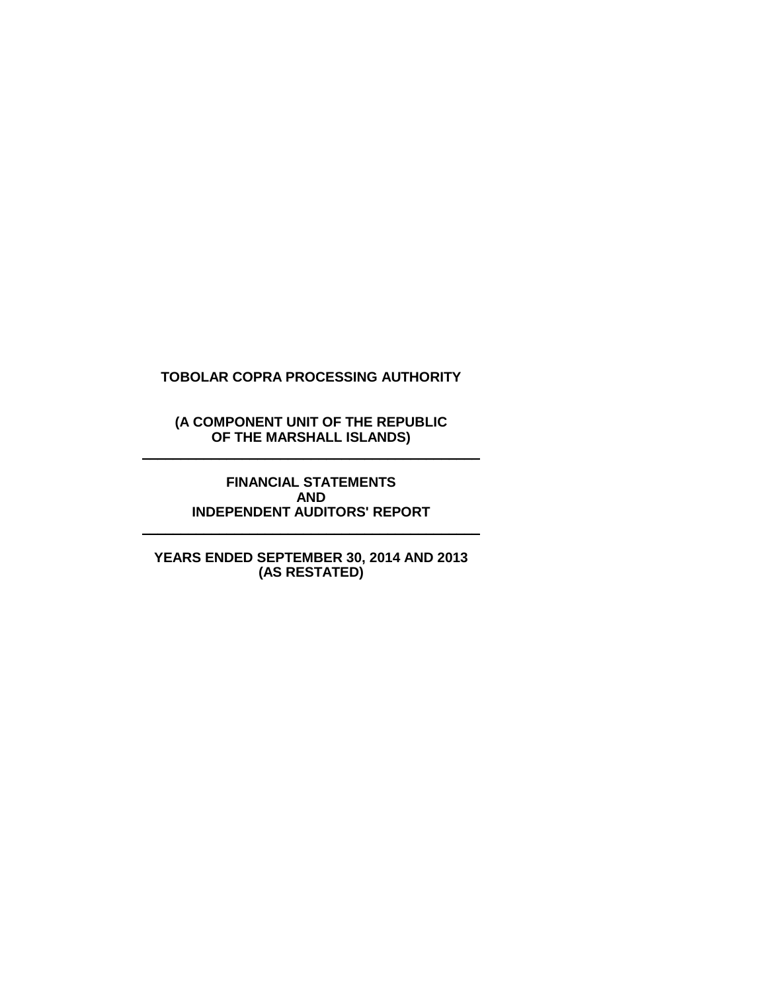**(A COMPONENT UNIT OF THE REPUBLIC OF THE MARSHALL ISLANDS)** \_\_\_\_\_\_\_\_\_\_\_\_\_\_\_\_\_\_\_\_\_\_\_\_\_\_\_\_\_\_\_\_\_\_\_\_\_\_\_\_\_\_\_\_

> **FINANCIAL STATEMENTS AND INDEPENDENT AUDITORS' REPORT**

\_\_\_\_\_\_\_\_\_\_\_\_\_\_\_\_\_\_\_\_\_\_\_\_\_\_\_\_\_\_\_\_\_\_\_\_\_\_\_\_\_\_\_\_

**YEARS ENDED SEPTEMBER 30, 2014 AND 2013 (AS RESTATED)**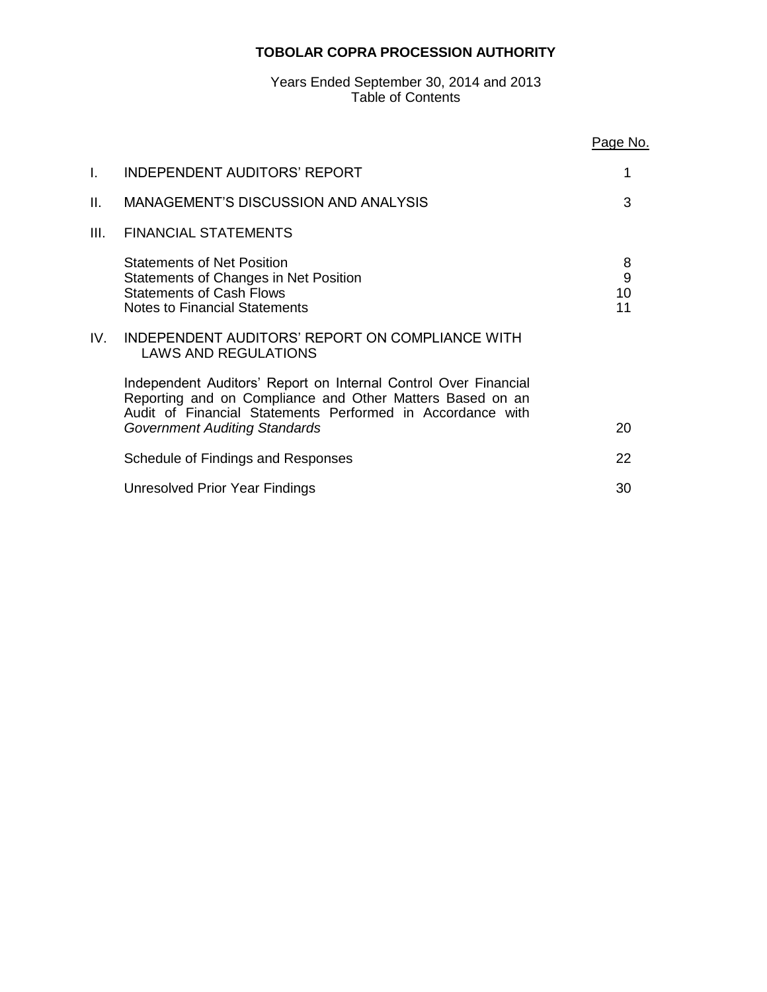# Years Ended September 30, 2014 and 2013 Table of Contents

|      |                                                                                                                                                                                                                                    | <u>Page No.</u>    |
|------|------------------------------------------------------------------------------------------------------------------------------------------------------------------------------------------------------------------------------------|--------------------|
| I.   | <b>INDEPENDENT AUDITORS' REPORT</b>                                                                                                                                                                                                |                    |
| Н.   | MANAGEMENT'S DISCUSSION AND ANALYSIS                                                                                                                                                                                               | 3                  |
| III. | <b>FINANCIAL STATEMENTS</b>                                                                                                                                                                                                        |                    |
|      | <b>Statements of Net Position</b><br>Statements of Changes in Net Position<br><b>Statements of Cash Flows</b><br><b>Notes to Financial Statements</b>                                                                              | 8<br>9<br>10<br>11 |
| IV.  | INDEPENDENT AUDITORS' REPORT ON COMPLIANCE WITH<br><b>LAWS AND REGULATIONS</b>                                                                                                                                                     |                    |
|      | Independent Auditors' Report on Internal Control Over Financial<br>Reporting and on Compliance and Other Matters Based on an<br>Audit of Financial Statements Performed in Accordance with<br><b>Government Auditing Standards</b> | 20                 |
|      | Schedule of Findings and Responses                                                                                                                                                                                                 | 22                 |
|      | Unresolved Prior Year Findings                                                                                                                                                                                                     | 30                 |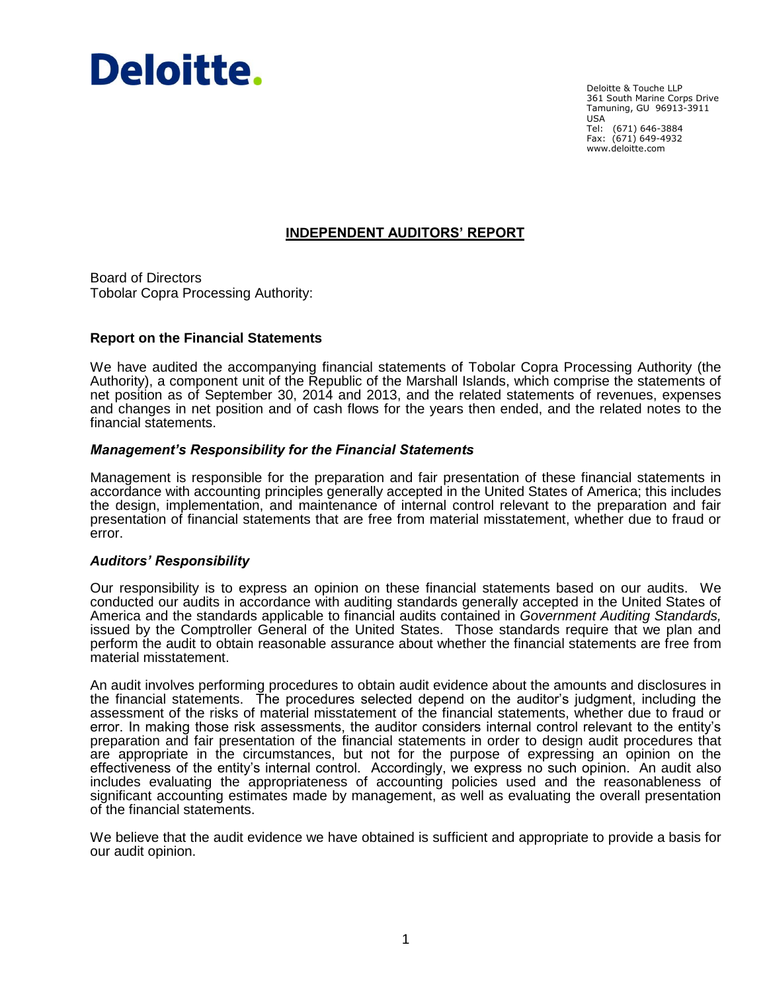

Deloitte & Touche LLP 361 South Marine Corps Drive Tamuning, GU 96913-3911 USA Tel: (671) 646-3884 Fax: (671) 649-4932 www.deloitte.com

# **INDEPENDENT AUDITORS' REPORT**

Board of Directors Tobolar Copra Processing Authority:

## **Report on the Financial Statements**

We have audited the accompanying financial statements of Tobolar Copra Processing Authority (the Authority), a component unit of the Republic of the Marshall Islands, which comprise the statements of net position as of September 30, 2014 and 2013, and the related statements of revenues, expenses and changes in net position and of cash flows for the years then ended, and the related notes to the financial statements.

#### *Management's Responsibility for the Financial Statements*

Management is responsible for the preparation and fair presentation of these financial statements in accordance with accounting principles generally accepted in the United States of America; this includes the design, implementation, and maintenance of internal control relevant to the preparation and fair presentation of financial statements that are free from material misstatement, whether due to fraud or error.

#### *Auditors' Responsibility*

Our responsibility is to express an opinion on these financial statements based on our audits. We conducted our audits in accordance with auditing standards generally accepted in the United States of America and the standards applicable to financial audits contained in *Government Auditing Standards,* issued by the Comptroller General of the United States. Those standards require that we plan and perform the audit to obtain reasonable assurance about whether the financial statements are free from material misstatement.

An audit involves performing procedures to obtain audit evidence about the amounts and disclosures in the financial statements. The procedures selected depend on the auditor's judgment, including the assessment of the risks of material misstatement of the financial statements, whether due to fraud or error. In making those risk assessments, the auditor considers internal control relevant to the entity's preparation and fair presentation of the financial statements in order to design audit procedures that are appropriate in the circumstances, but not for the purpose of expressing an opinion on the effectiveness of the entity's internal control. Accordingly, we express no such opinion. An audit also includes evaluating the appropriateness of accounting policies used and the reasonableness of significant accounting estimates made by management, as well as evaluating the overall presentation of the financial statements.

We believe that the audit evidence we have obtained is sufficient and appropriate to provide a basis for our audit opinion.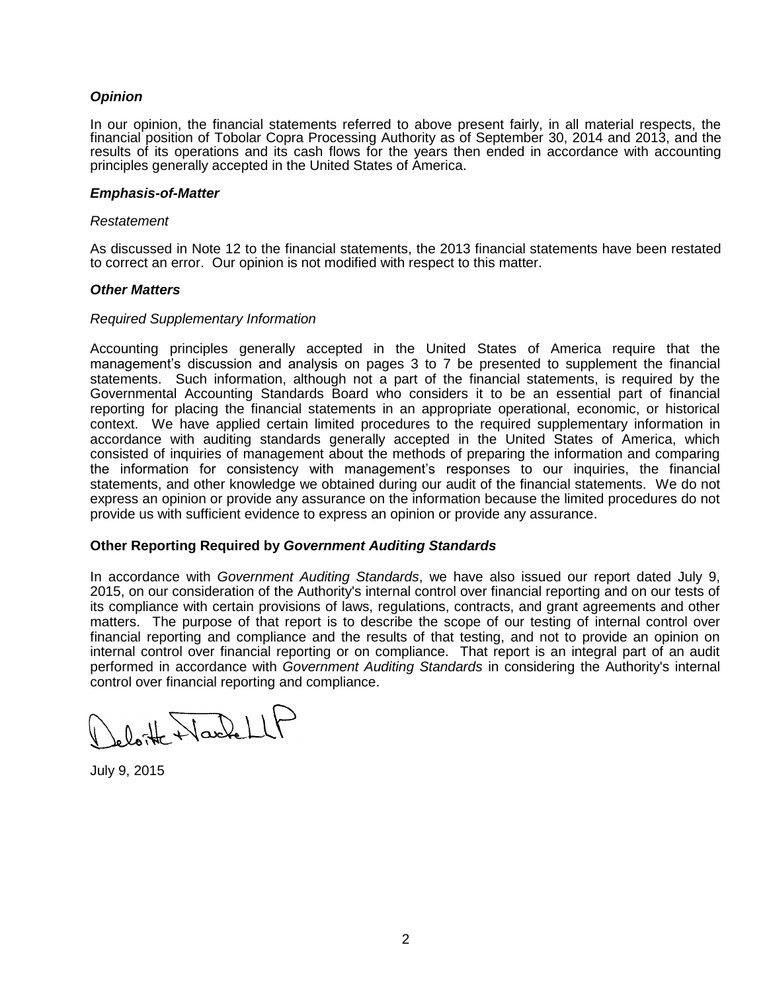# *Opinion*

In our opinion, the financial statements referred to above present fairly, in all material respects, the financial position of Tobolar Copra Processing Authority as of September 30, 2014 and 2013, and the results of its operations and its cash flows for the years then ended in accordance with accounting principles generally accepted in the United States of America.

#### *Emphasis-of-Matter*

#### *Restatement*

As discussed in Note 12 to the financial statements, the 2013 financial statements have been restated to correct an error. Our opinion is not modified with respect to this matter.

#### *Other Matters*

#### *Required Supplementary Information*

Accounting principles generally accepted in the United States of America require that the management's discussion and analysis on pages 3 to 7 be presented to supplement the financial statements. Such information, although not a part of the financial statements, is required by the Governmental Accounting Standards Board who considers it to be an essential part of financial reporting for placing the financial statements in an appropriate operational, economic, or historical context. We have applied certain limited procedures to the required supplementary information in accordance with auditing standards generally accepted in the United States of America, which consisted of inquiries of management about the methods of preparing the information and comparing the information for consistency with management's responses to our inquiries, the financial statements, and other knowledge we obtained during our audit of the financial statements. We do not express an opinion or provide any assurance on the information because the limited procedures do not provide us with sufficient evidence to express an opinion or provide any assurance.

## **Other Reporting Required by** *Government Auditing Standards*

In accordance with *Government Auditing Standards*, we have also issued our report dated July 9, 2015, on our consideration of the Authority's internal control over financial reporting and on our tests of its compliance with certain provisions of laws, regulations, contracts, and grant agreements and other matters. The purpose of that report is to describe the scope of our testing of internal control over financial reporting and compliance and the results of that testing, and not to provide an opinion on internal control over financial reporting or on compliance. That report is an integral part of an audit performed in accordance with *Government Auditing Standards* in considering the Authority's internal control over financial reporting and compliance.

leloite NacheLLF

July 9, 2015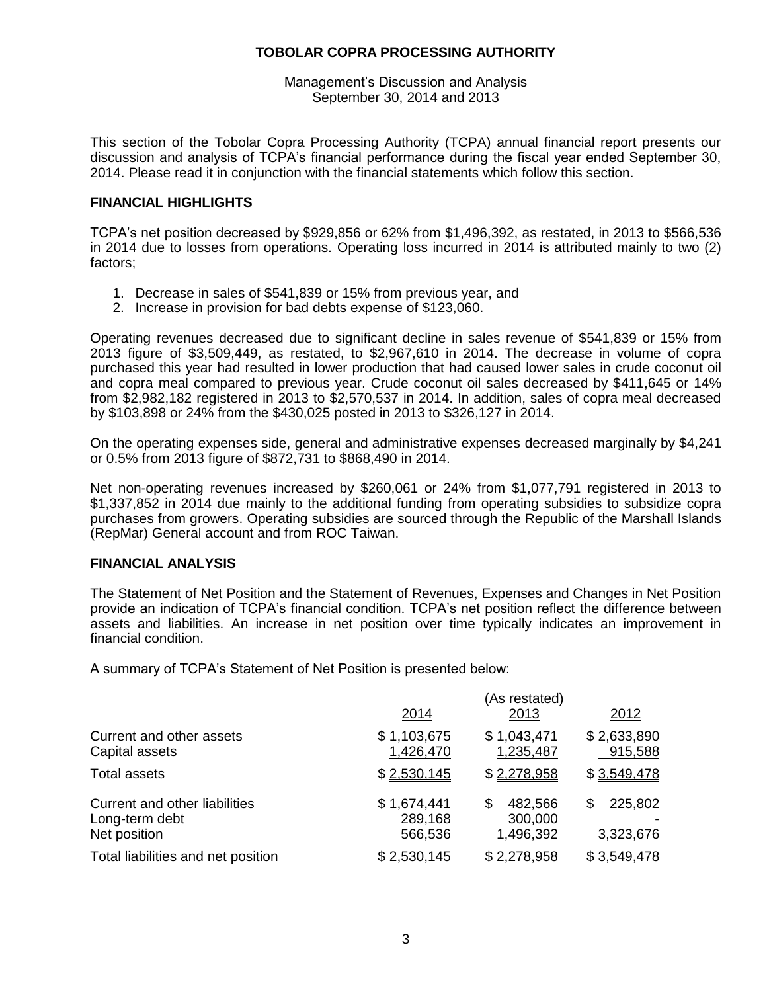Management's Discussion and Analysis September 30, 2014 and 2013

This section of the Tobolar Copra Processing Authority (TCPA) annual financial report presents our discussion and analysis of TCPA's financial performance during the fiscal year ended September 30, 2014. Please read it in conjunction with the financial statements which follow this section.

# **FINANCIAL HIGHLIGHTS**

TCPA's net position decreased by \$929,856 or 62% from \$1,496,392, as restated, in 2013 to \$566,536 in 2014 due to losses from operations. Operating loss incurred in 2014 is attributed mainly to two (2) factors;

- 1. Decrease in sales of \$541,839 or 15% from previous year, and
- 2. Increase in provision for bad debts expense of \$123,060.

Operating revenues decreased due to significant decline in sales revenue of \$541,839 or 15% from 2013 figure of \$3,509,449, as restated, to \$2,967,610 in 2014. The decrease in volume of copra purchased this year had resulted in lower production that had caused lower sales in crude coconut oil and copra meal compared to previous year. Crude coconut oil sales decreased by \$411,645 or 14% from \$2,982,182 registered in 2013 to \$2,570,537 in 2014. In addition, sales of copra meal decreased by \$103,898 or 24% from the \$430,025 posted in 2013 to \$326,127 in 2014.

On the operating expenses side, general and administrative expenses decreased marginally by \$4,241 or 0.5% from 2013 figure of \$872,731 to \$868,490 in 2014.

Net non-operating revenues increased by \$260,061 or 24% from \$1,077,791 registered in 2013 to \$1,337,852 in 2014 due mainly to the additional funding from operating subsidies to subsidize copra purchases from growers. Operating subsidies are sourced through the Republic of the Marshall Islands (RepMar) General account and from ROC Taiwan.

## **FINANCIAL ANALYSIS**

The Statement of Net Position and the Statement of Revenues, Expenses and Changes in Net Position provide an indication of TCPA's financial condition. TCPA's net position reflect the difference between assets and liabilities. An increase in net position over time typically indicates an improvement in financial condition.

A summary of TCPA's Statement of Net Position is presented below:

|                                                                 |                                   | (As restated)                        |                           |
|-----------------------------------------------------------------|-----------------------------------|--------------------------------------|---------------------------|
|                                                                 | 2014                              | 2013                                 | 2012                      |
| Current and other assets<br>Capital assets                      | \$1,103,675<br>1,426,470          | \$1,043,471<br>1,235,487             | \$2,633,890<br>915,588    |
| <b>Total assets</b>                                             | \$2,530,145                       | \$2,278,958                          | \$3,549,478               |
| Current and other liabilities<br>Long-term debt<br>Net position | \$1,674,441<br>289,168<br>566,536 | 482,566<br>S<br>300,000<br>1,496,392 | 225,802<br>S<br>3,323,676 |
| Total liabilities and net position                              | \$2,530,145                       | \$2,278,958                          | \$3,549,478               |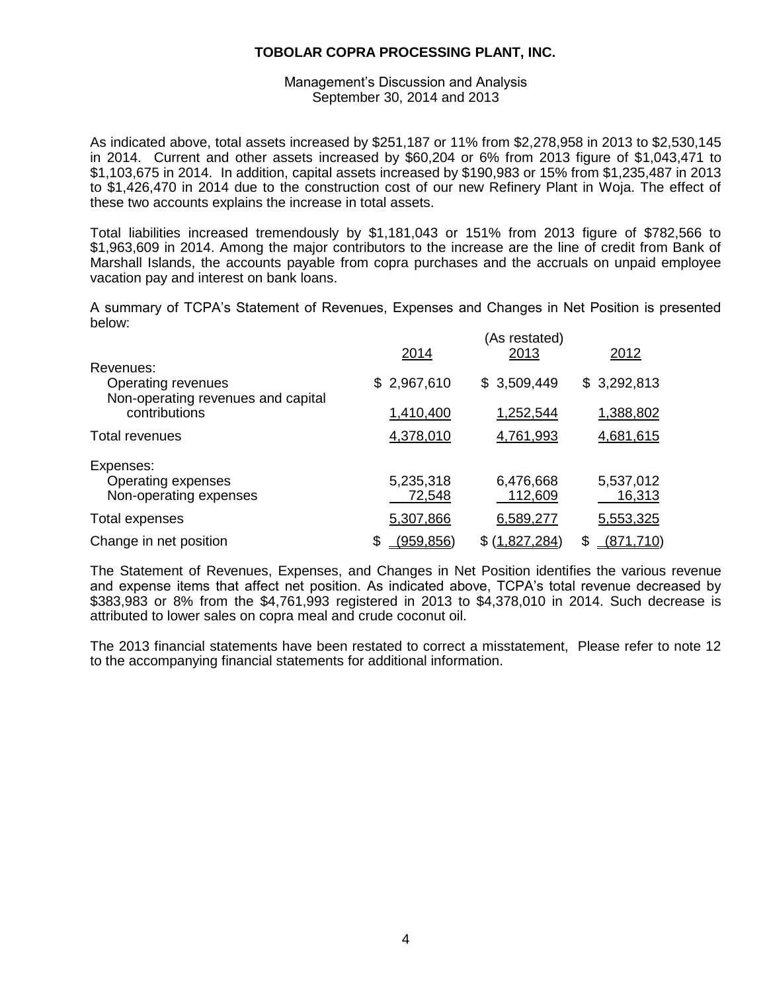Management's Discussion and Analysis September 30, 2014 and 2013

As indicated above, total assets increased by \$251,187 or 11% from \$2,278,958 in 2013 to \$2,530,145 in 2014. Current and other assets increased by \$60,204 or 6% from 2013 figure of \$1,043,471 to \$1,103,675 in 2014. In addition, capital assets increased by \$190,983 or 15% from \$1,235,487 in 2013 to \$1,426,470 in 2014 due to the construction cost of our new Refinery Plant in Woja. The effect of these two accounts explains the increase in total assets.

Total liabilities increased tremendously by \$1,181,043 or 151% from 2013 figure of \$782,566 to \$1,963,609 in 2014. Among the major contributors to the increase are the line of credit from Bank of Marshall Islands, the accounts payable from copra purchases and the accruals on unpaid employee vacation pay and interest on bank loans.

A summary of TCPA's Statement of Revenues, Expenses and Changes in Net Position is presented below:

| Revenues:                                                | 2014                | (As restated)<br>2013 | 2012                       |
|----------------------------------------------------------|---------------------|-----------------------|----------------------------|
| Operating revenues<br>Non-operating revenues and capital | 2,967,610<br>S.     | \$3,509,449           | \$3,292,813                |
| contributions                                            | 1,410,400           | 1,252,544             | 1,388,802                  |
| Total revenues                                           | 4,378,010           | 4,761,993             | 4,681,615                  |
| Expenses:                                                |                     |                       |                            |
| Operating expenses<br>Non-operating expenses             | 5,235,318<br>72,548 | 6,476,668<br>112,609  | 5,537,012<br><u>16,313</u> |
| Total expenses                                           | 5,307,866           | 6,589,277             | 5,553,325                  |
| Change in net position                                   | S<br>(959, 856)     | (1,827,284)<br>\$     | \$<br>(871, 710)           |

The Statement of Revenues, Expenses, and Changes in Net Position identifies the various revenue and expense items that affect net position. As indicated above, TCPA's total revenue decreased by \$383,983 or 8% from the \$4,761,993 registered in 2013 to \$4,378,010 in 2014. Such decrease is attributed to lower sales on copra meal and crude coconut oil.

The 2013 financial statements have been restated to correct a misstatement, Please refer to note 12 to the accompanying financial statements for additional information.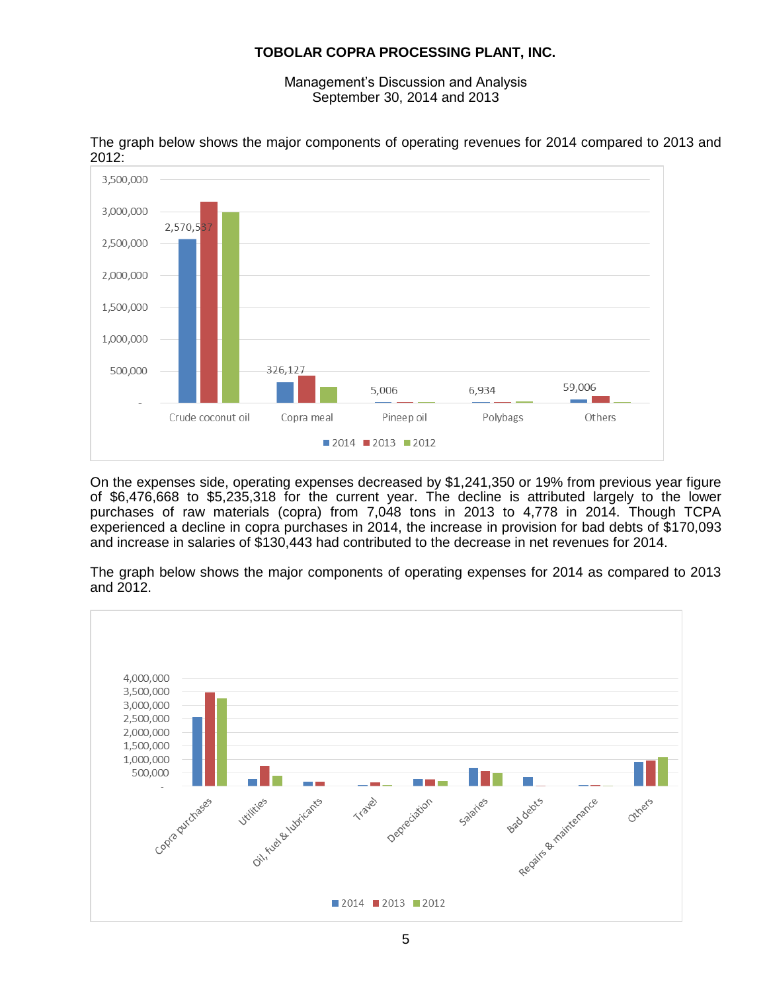Management's Discussion and Analysis September 30, 2014 and 2013



The graph below shows the major components of operating revenues for 2014 compared to 2013 and 2012:

On the expenses side, operating expenses decreased by \$1,241,350 or 19% from previous year figure of \$6,476,668 to \$5,235,318 for the current year. The decline is attributed largely to the lower purchases of raw materials (copra) from 7,048 tons in 2013 to 4,778 in 2014. Though TCPA experienced a decline in copra purchases in 2014, the increase in provision for bad debts of \$170,093 and increase in salaries of \$130,443 had contributed to the decrease in net revenues for 2014.

The graph below shows the major components of operating expenses for 2014 as compared to 2013 and 2012.

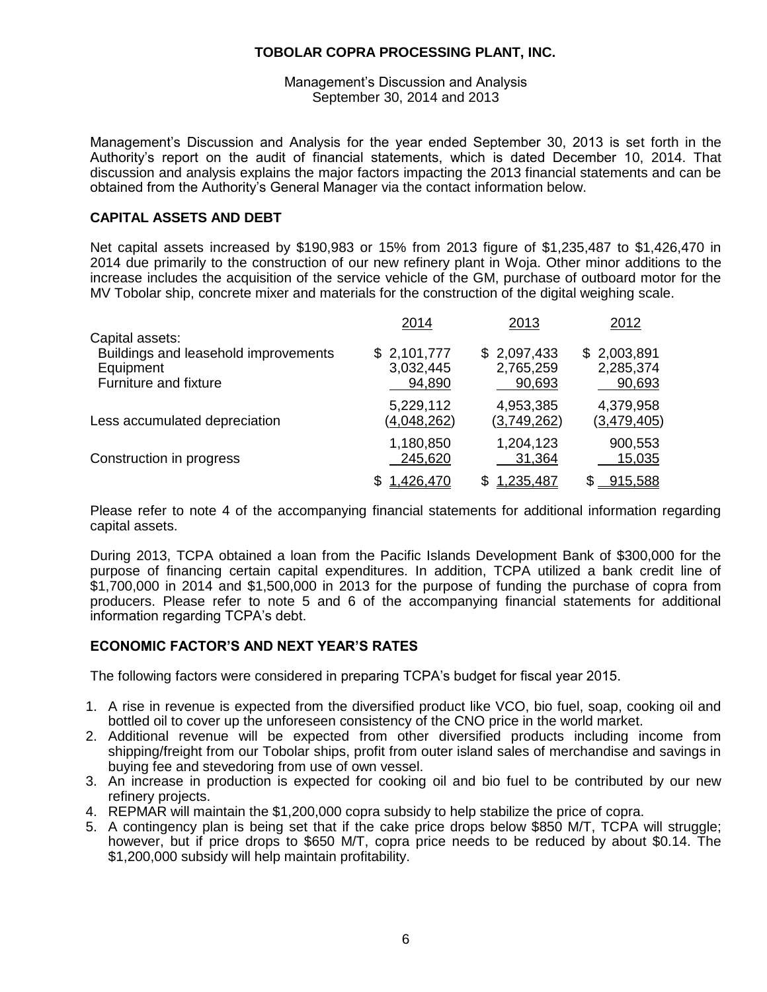Management's Discussion and Analysis September 30, 2014 and 2013

Management's Discussion and Analysis for the year ended September 30, 2013 is set forth in the Authority's report on the audit of financial statements, which is dated December 10, 2014. That discussion and analysis explains the major factors impacting the 2013 financial statements and can be obtained from the Authority's General Manager via the contact information below.

## **CAPITAL ASSETS AND DEBT**

Net capital assets increased by \$190,983 or 15% from 2013 figure of \$1,235,487 to \$1,426,470 in 2014 due primarily to the construction of our new refinery plant in Woja. Other minor additions to the increase includes the acquisition of the service vehicle of the GM, purchase of outboard motor for the MV Tobolar ship, concrete mixer and materials for the construction of the digital weighing scale.

| Capital assets:                      | 2014        | 2013        | 2012        |
|--------------------------------------|-------------|-------------|-------------|
| Buildings and leasehold improvements | \$2,101,777 | \$2,097,433 | \$2,003,891 |
| Equipment                            | 3,032,445   | 2,765,259   | 2,285,374   |
| Furniture and fixture                | 94,890      | 90,693      | 90,693      |
| Less accumulated depreciation        | 5,229,112   | 4,953,385   | 4,379,958   |
|                                      | (4,048,262) | (3,749,262) | (3,479,405) |
| Construction in progress             | 1,180,850   | 1,204,123   | 900,553     |
|                                      | 245,620     | 31,364      | 15,035      |
|                                      | 1,426,470   | 1,235,487   | 915,588     |

Please refer to note 4 of the accompanying financial statements for additional information regarding capital assets.

During 2013, TCPA obtained a loan from the Pacific Islands Development Bank of \$300,000 for the purpose of financing certain capital expenditures. In addition, TCPA utilized a bank credit line of \$1,700,000 in 2014 and \$1,500,000 in 2013 for the purpose of funding the purchase of copra from producers. Please refer to note 5 and 6 of the accompanying financial statements for additional information regarding TCPA's debt.

## **ECONOMIC FACTOR'S AND NEXT YEAR'S RATES**

The following factors were considered in preparing TCPA's budget for fiscal year 2015.

- 1. A rise in revenue is expected from the diversified product like VCO, bio fuel, soap, cooking oil and bottled oil to cover up the unforeseen consistency of the CNO price in the world market.
- 2. Additional revenue will be expected from other diversified products including income from shipping/freight from our Tobolar ships, profit from outer island sales of merchandise and savings in buying fee and stevedoring from use of own vessel.
- 3. An increase in production is expected for cooking oil and bio fuel to be contributed by our new refinery projects.
- 4. REPMAR will maintain the \$1,200,000 copra subsidy to help stabilize the price of copra.
- 5. A contingency plan is being set that if the cake price drops below \$850 M/T, TCPA will struggle; however, but if price drops to \$650 M/T, copra price needs to be reduced by about \$0.14. The \$1,200,000 subsidy will help maintain profitability.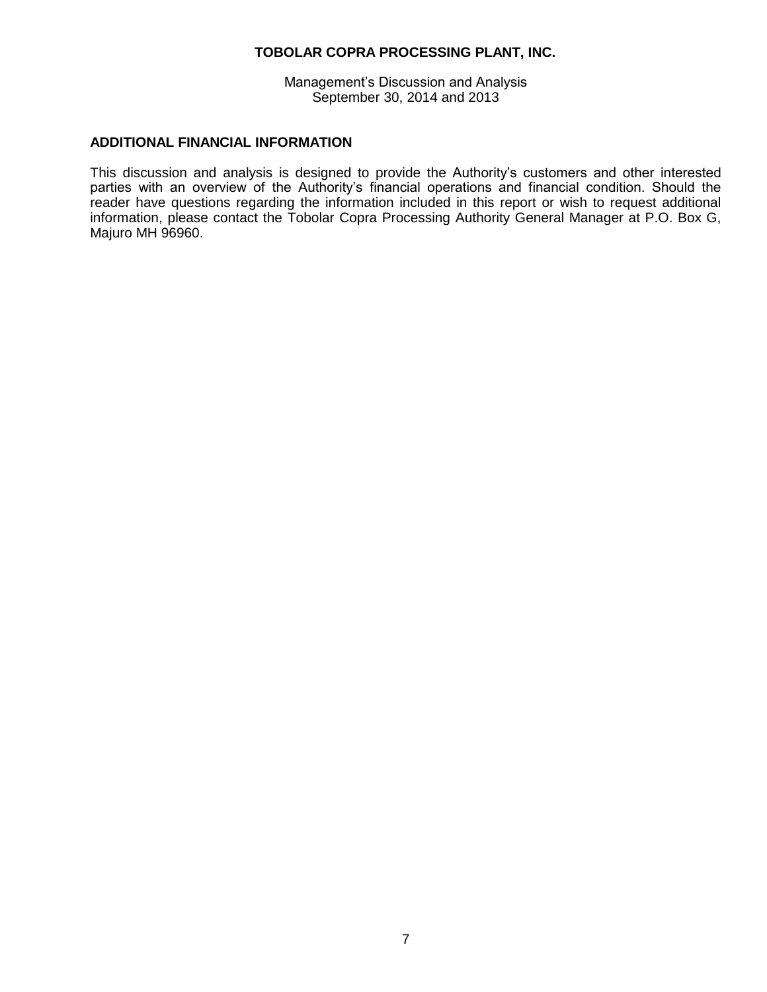Management's Discussion and Analysis September 30, 2014 and 2013

## **ADDITIONAL FINANCIAL INFORMATION**

This discussion and analysis is designed to provide the Authority's customers and other interested parties with an overview of the Authority's financial operations and financial condition. Should the reader have questions regarding the information included in this report or wish to request additional information, please contact the Tobolar Copra Processing Authority General Manager at P.O. Box G, Majuro MH 96960.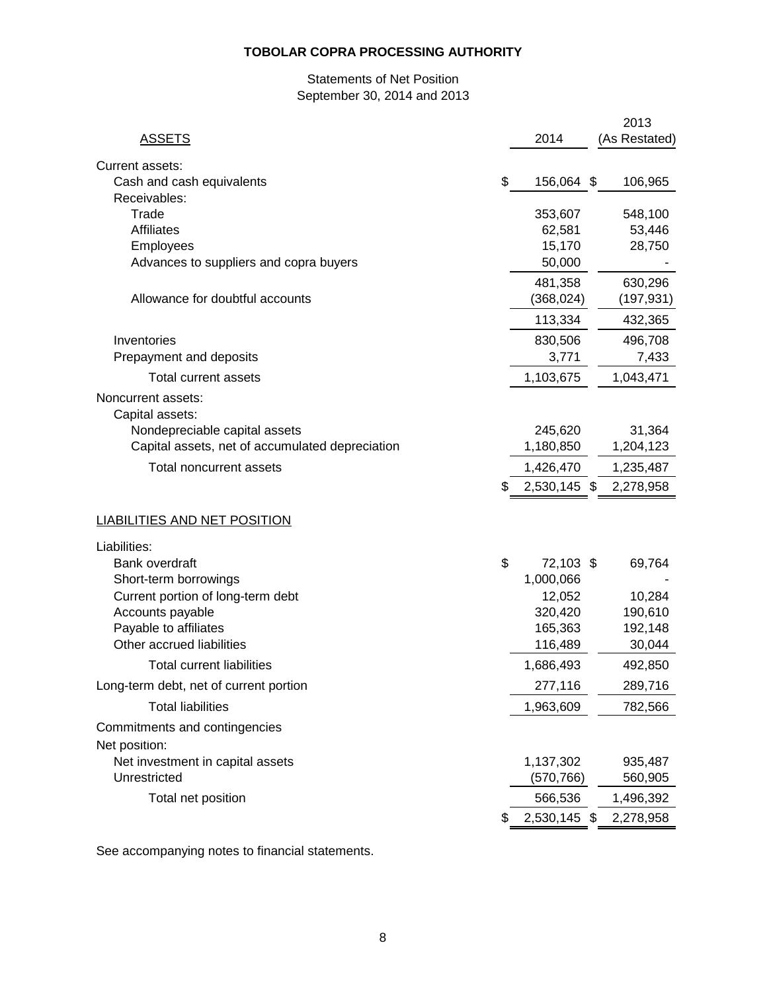# Statements of Net Position September 30, 2014 and 2013

|                                                  |                         | 2013               |
|--------------------------------------------------|-------------------------|--------------------|
| <b>ASSETS</b>                                    | 2014                    | (As Restated)      |
| Current assets:                                  |                         |                    |
| Cash and cash equivalents                        | \$<br>156,064 \$        | 106,965            |
| Receivables:                                     |                         |                    |
| Trade                                            | 353,607                 | 548,100            |
| <b>Affiliates</b>                                | 62,581                  | 53,446             |
| Employees                                        | 15,170                  | 28,750             |
| Advances to suppliers and copra buyers           | 50,000                  |                    |
|                                                  | 481,358                 | 630,296            |
| Allowance for doubtful accounts                  | (368, 024)              | (197, 931)         |
|                                                  | 113,334                 | 432,365            |
| Inventories                                      | 830,506                 | 496,708            |
| Prepayment and deposits                          | 3,771                   | 7,433              |
| Total current assets                             | 1,103,675               | 1,043,471          |
| Noncurrent assets:                               |                         |                    |
| Capital assets:                                  |                         |                    |
| Nondepreciable capital assets                    | 245,620                 | 31,364             |
| Capital assets, net of accumulated depreciation  | 1,180,850               | 1,204,123          |
| <b>Total noncurrent assets</b>                   | 1,426,470               | 1,235,487          |
|                                                  | \$<br>2,530,145 \$      | 2,278,958          |
| LIABILITIES AND NET POSITION                     |                         |                    |
|                                                  |                         |                    |
| Liabilities:                                     |                         |                    |
| <b>Bank overdraft</b>                            | \$<br>72,103 \$         | 69,764             |
| Short-term borrowings                            | 1,000,066               |                    |
| Current portion of long-term debt                | 12,052                  | 10,284<br>190,610  |
| Accounts payable<br>Payable to affiliates        | 320,420<br>165,363      | 192,148            |
| Other accrued liabilities                        | 116,489                 | 30,044             |
| <b>Total current liabilities</b>                 | 1,686,493               | 492,850            |
| Long-term debt, net of current portion           | 277,116                 | 289,716            |
| <b>Total liabilities</b>                         | 1,963,609               | 782,566            |
|                                                  |                         |                    |
| Commitments and contingencies                    |                         |                    |
| Net position:                                    |                         |                    |
| Net investment in capital assets<br>Unrestricted | 1,137,302<br>(570, 766) | 935,487<br>560,905 |
| Total net position                               | 566,536                 | 1,496,392          |
|                                                  | \$<br>2,530,145 \$      | 2,278,958          |
|                                                  |                         |                    |

See accompanying notes to financial statements.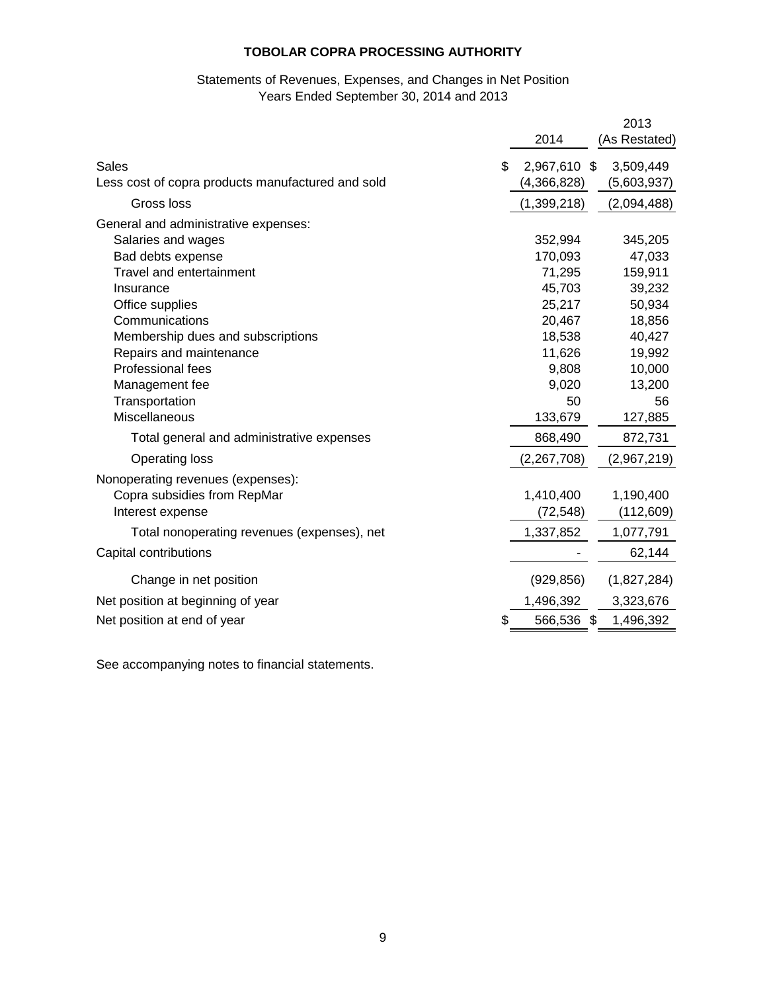# Statements of Revenues, Expenses, and Changes in Net Position Years Ended September 30, 2014 and 2013

|                                                   |                    | 2013          |
|---------------------------------------------------|--------------------|---------------|
|                                                   | 2014               | (As Restated) |
| <b>Sales</b>                                      | \$<br>2,967,610 \$ | 3,509,449     |
| Less cost of copra products manufactured and sold | (4,366,828)        | (5,603,937)   |
| Gross loss                                        | (1,399,218)        | (2,094,488)   |
| General and administrative expenses:              |                    |               |
| Salaries and wages                                | 352,994            | 345,205       |
| Bad debts expense                                 | 170,093            | 47,033        |
| <b>Travel and entertainment</b>                   | 71,295             | 159,911       |
| Insurance                                         | 45,703             | 39,232        |
| Office supplies                                   | 25,217             | 50,934        |
| Communications                                    | 20,467             | 18,856        |
| Membership dues and subscriptions                 | 18,538             | 40,427        |
| Repairs and maintenance                           | 11,626             | 19,992        |
| <b>Professional fees</b>                          | 9,808              | 10,000        |
| Management fee                                    | 9,020              | 13,200        |
| Transportation                                    | 50                 | 56            |
| Miscellaneous                                     | 133,679            | 127,885       |
| Total general and administrative expenses         | 868,490            | 872,731       |
| <b>Operating loss</b>                             | (2, 267, 708)      | (2,967,219)   |
| Nonoperating revenues (expenses):                 |                    |               |
| Copra subsidies from RepMar                       | 1,410,400          | 1,190,400     |
| Interest expense                                  | (72, 548)          | (112,609)     |
| Total nonoperating revenues (expenses), net       | 1,337,852          | 1,077,791     |
| Capital contributions                             |                    | 62,144        |
| Change in net position                            | (929, 856)         | (1,827,284)   |
| Net position at beginning of year                 | 1,496,392          | 3,323,676     |
| Net position at end of year                       | \$<br>566,536 \$   | 1,496,392     |

See accompanying notes to financial statements.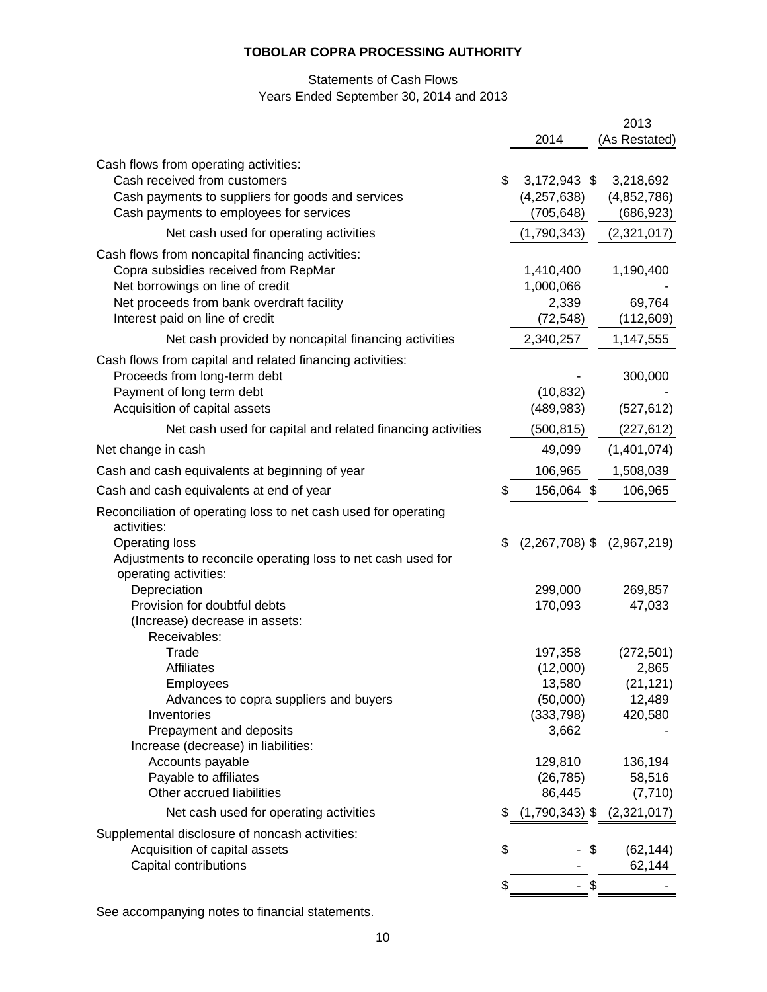# Statements of Cash Flows Years Ended September 30, 2014 and 2013

|                                                                                       |                        | 2013          |
|---------------------------------------------------------------------------------------|------------------------|---------------|
|                                                                                       | 2014                   | (As Restated) |
| Cash flows from operating activities:                                                 |                        |               |
| Cash received from customers                                                          | \$<br>3,172,943 \$     | 3,218,692     |
| Cash payments to suppliers for goods and services                                     | (4,257,638)            | (4,852,786)   |
| Cash payments to employees for services                                               | (705,648)              | (686, 923)    |
| Net cash used for operating activities                                                | (1,790,343)            | (2,321,017)   |
| Cash flows from noncapital financing activities:                                      |                        |               |
| Copra subsidies received from RepMar                                                  | 1,410,400              | 1,190,400     |
| Net borrowings on line of credit                                                      | 1,000,066              |               |
| Net proceeds from bank overdraft facility                                             | 2,339                  | 69,764        |
| Interest paid on line of credit                                                       | (72, 548)              | (112,609)     |
| Net cash provided by noncapital financing activities                                  | 2,340,257              | 1,147,555     |
| Cash flows from capital and related financing activities:                             |                        |               |
| Proceeds from long-term debt                                                          |                        | 300,000       |
| Payment of long term debt                                                             | (10, 832)              |               |
| Acquisition of capital assets                                                         | (489, 983)             | (527, 612)    |
| Net cash used for capital and related financing activities                            | (500, 815)             | (227, 612)    |
| Net change in cash                                                                    | 49,099                 | (1,401,074)   |
| Cash and cash equivalents at beginning of year                                        | 106,965                | 1,508,039     |
| Cash and cash equivalents at end of year                                              | \$<br>156,064 \$       | 106,965       |
| Reconciliation of operating loss to net cash used for operating                       |                        |               |
| activities:                                                                           |                        |               |
| <b>Operating loss</b>                                                                 | \$<br>$(2,267,708)$ \$ | (2,967,219)   |
| Adjustments to reconcile operating loss to net cash used for<br>operating activities: |                        |               |
| Depreciation                                                                          | 299,000                | 269,857       |
| Provision for doubtful debts                                                          | 170,093                | 47,033        |
| (Increase) decrease in assets:                                                        |                        |               |
| Receivables:                                                                          |                        |               |
| Trade                                                                                 | 197,358                | (272, 501)    |
| <b>Affiliates</b>                                                                     | (12,000)               | 2,865         |
| Employees                                                                             | 13,580                 | (21, 121)     |
| Advances to copra suppliers and buyers                                                | (50,000)               | 12,489        |
| Inventories                                                                           | (333, 798)             | 420,580       |
| Prepayment and deposits<br>Increase (decrease) in liabilities:                        | 3,662                  |               |
| Accounts payable                                                                      | 129,810                | 136,194       |
| Payable to affiliates                                                                 | (26, 785)              | 58,516        |
| Other accrued liabilities                                                             | 86,445                 | (7, 710)      |
| Net cash used for operating activities                                                | \$<br>$(1,790,343)$ \$ | (2,321,017)   |
| Supplemental disclosure of noncash activities:                                        |                        |               |
| Acquisition of capital assets                                                         | \$<br>\$               | (62, 144)     |
| Capital contributions                                                                 |                        | 62,144        |
|                                                                                       | \$                     |               |

See accompanying notes to financial statements.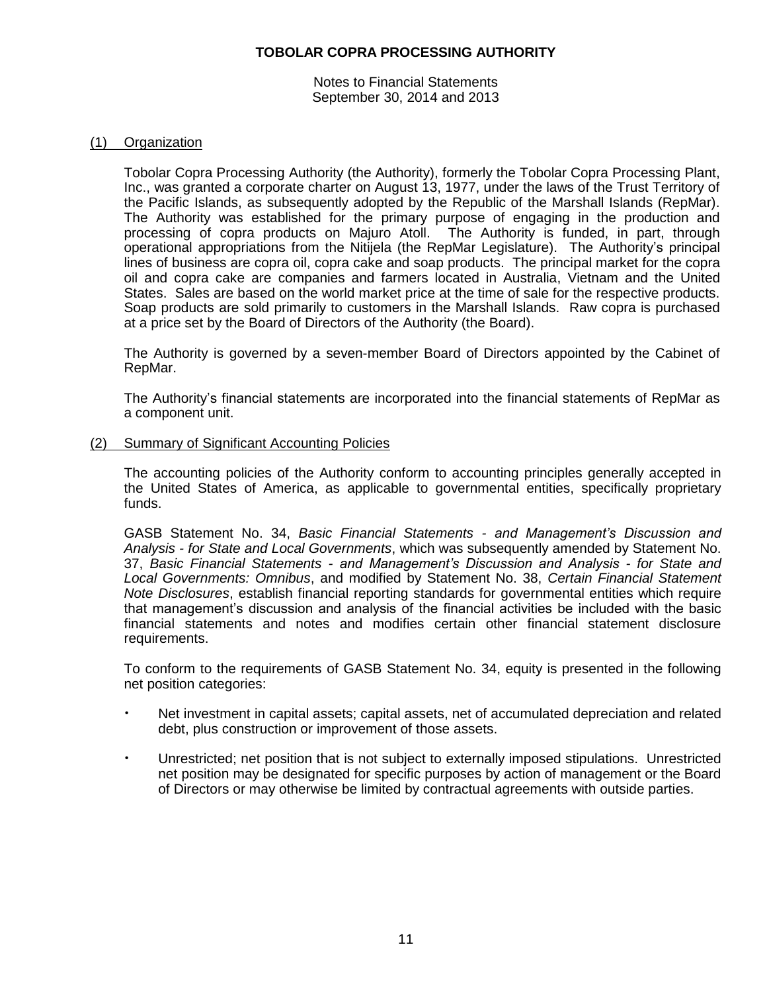Notes to Financial Statements September 30, 2014 and 2013

#### (1) Organization

Tobolar Copra Processing Authority (the Authority), formerly the Tobolar Copra Processing Plant, Inc., was granted a corporate charter on August 13, 1977, under the laws of the Trust Territory of the Pacific Islands, as subsequently adopted by the Republic of the Marshall Islands (RepMar). The Authority was established for the primary purpose of engaging in the production and processing of copra products on Majuro Atoll. The Authority is funded, in part, through operational appropriations from the Nitijela (the RepMar Legislature). The Authority's principal lines of business are copra oil, copra cake and soap products. The principal market for the copra oil and copra cake are companies and farmers located in Australia, Vietnam and the United States. Sales are based on the world market price at the time of sale for the respective products. Soap products are sold primarily to customers in the Marshall Islands. Raw copra is purchased at a price set by the Board of Directors of the Authority (the Board).

The Authority is governed by a seven-member Board of Directors appointed by the Cabinet of RepMar.

The Authority's financial statements are incorporated into the financial statements of RepMar as a component unit.

(2) Summary of Significant Accounting Policies

The accounting policies of the Authority conform to accounting principles generally accepted in the United States of America, as applicable to governmental entities, specifically proprietary funds.

GASB Statement No. 34, *Basic Financial Statements - and Management's Discussion and Analysis - for State and Local Governments*, which was subsequently amended by Statement No. 37, *Basic Financial Statements - and Management's Discussion and Analysis - for State and Local Governments: Omnibus*, and modified by Statement No. 38, *Certain Financial Statement Note Disclosures*, establish financial reporting standards for governmental entities which require that management's discussion and analysis of the financial activities be included with the basic financial statements and notes and modifies certain other financial statement disclosure requirements.

To conform to the requirements of GASB Statement No. 34, equity is presented in the following net position categories:

- Net investment in capital assets; capital assets, net of accumulated depreciation and related debt, plus construction or improvement of those assets.
- Unrestricted; net position that is not subject to externally imposed stipulations. Unrestricted net position may be designated for specific purposes by action of management or the Board of Directors or may otherwise be limited by contractual agreements with outside parties.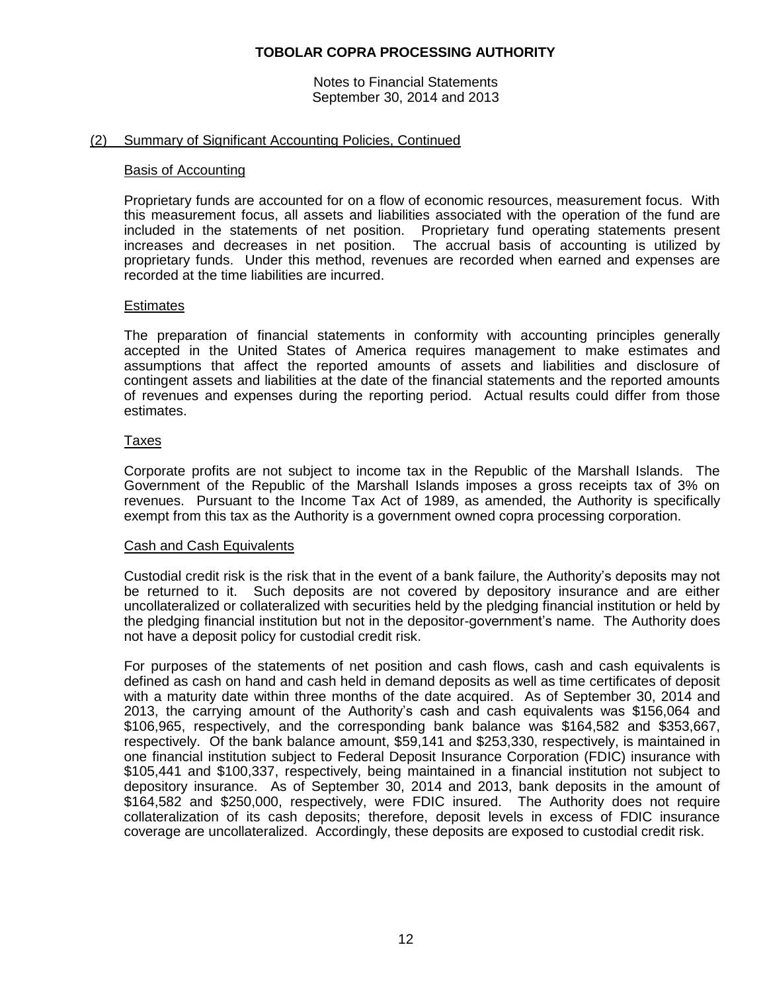Notes to Financial Statements September 30, 2014 and 2013

#### (2) Summary of Significant Accounting Policies, Continued

#### Basis of Accounting

Proprietary funds are accounted for on a flow of economic resources, measurement focus. With this measurement focus, all assets and liabilities associated with the operation of the fund are included in the statements of net position. Proprietary fund operating statements present increases and decreases in net position. The accrual basis of accounting is utilized by proprietary funds. Under this method, revenues are recorded when earned and expenses are recorded at the time liabilities are incurred.

#### **Estimates**

The preparation of financial statements in conformity with accounting principles generally accepted in the United States of America requires management to make estimates and assumptions that affect the reported amounts of assets and liabilities and disclosure of contingent assets and liabilities at the date of the financial statements and the reported amounts of revenues and expenses during the reporting period. Actual results could differ from those estimates.

## Taxes

Corporate profits are not subject to income tax in the Republic of the Marshall Islands. The Government of the Republic of the Marshall Islands imposes a gross receipts tax of 3% on revenues. Pursuant to the Income Tax Act of 1989, as amended, the Authority is specifically exempt from this tax as the Authority is a government owned copra processing corporation.

#### Cash and Cash Equivalents

Custodial credit risk is the risk that in the event of a bank failure, the Authority's deposits may not be returned to it. Such deposits are not covered by depository insurance and are either uncollateralized or collateralized with securities held by the pledging financial institution or held by the pledging financial institution but not in the depositor-government's name. The Authority does not have a deposit policy for custodial credit risk.

For purposes of the statements of net position and cash flows, cash and cash equivalents is defined as cash on hand and cash held in demand deposits as well as time certificates of deposit with a maturity date within three months of the date acquired. As of September 30, 2014 and 2013, the carrying amount of the Authority's cash and cash equivalents was \$156,064 and \$106,965, respectively, and the corresponding bank balance was \$164,582 and \$353,667, respectively. Of the bank balance amount, \$59,141 and \$253,330, respectively, is maintained in one financial institution subject to Federal Deposit Insurance Corporation (FDIC) insurance with \$105,441 and \$100,337, respectively, being maintained in a financial institution not subject to depository insurance. As of September 30, 2014 and 2013, bank deposits in the amount of \$164,582 and \$250,000, respectively, were FDIC insured. The Authority does not require collateralization of its cash deposits; therefore, deposit levels in excess of FDIC insurance coverage are uncollateralized. Accordingly, these deposits are exposed to custodial credit risk.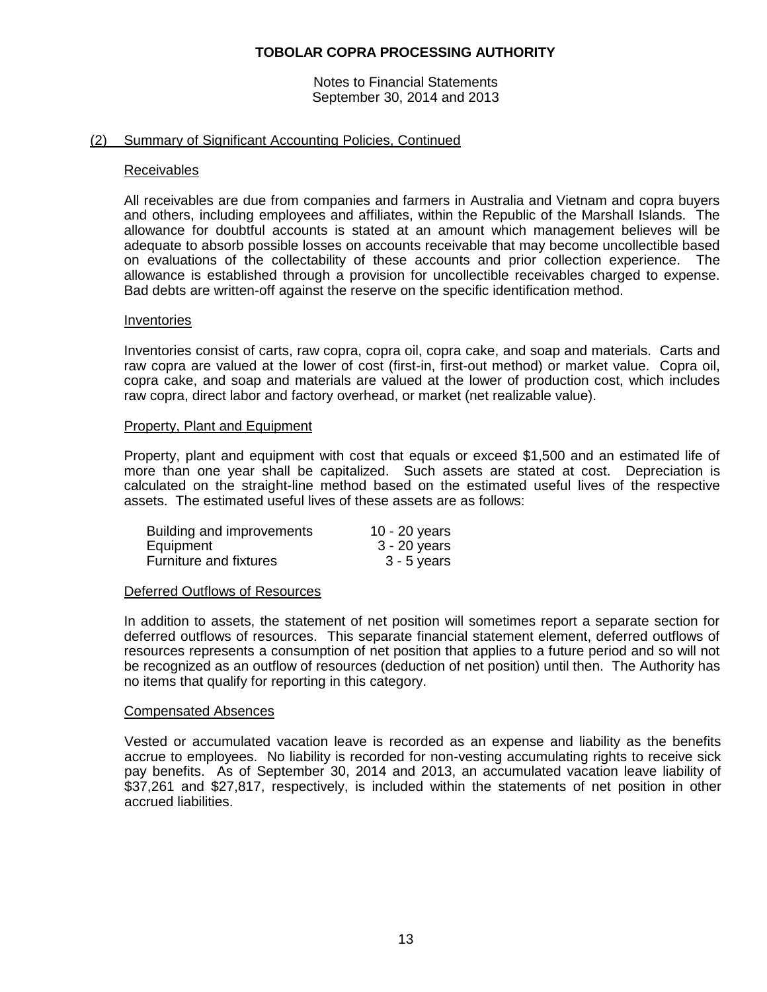Notes to Financial Statements September 30, 2014 and 2013

#### (2) Summary of Significant Accounting Policies, Continued

#### Receivables

All receivables are due from companies and farmers in Australia and Vietnam and copra buyers and others, including employees and affiliates, within the Republic of the Marshall Islands. The allowance for doubtful accounts is stated at an amount which management believes will be adequate to absorb possible losses on accounts receivable that may become uncollectible based on evaluations of the collectability of these accounts and prior collection experience. The allowance is established through a provision for uncollectible receivables charged to expense. Bad debts are written-off against the reserve on the specific identification method.

#### Inventories

Inventories consist of carts, raw copra, copra oil, copra cake, and soap and materials. Carts and raw copra are valued at the lower of cost (first-in, first-out method) or market value. Copra oil, copra cake, and soap and materials are valued at the lower of production cost, which includes raw copra, direct labor and factory overhead, or market (net realizable value).

#### Property, Plant and Equipment

Property, plant and equipment with cost that equals or exceed \$1,500 and an estimated life of more than one year shall be capitalized. Such assets are stated at cost. Depreciation is calculated on the straight-line method based on the estimated useful lives of the respective assets. The estimated useful lives of these assets are as follows:

| Building and improvements | 10 - 20 years |
|---------------------------|---------------|
| Equipment                 | 3 - 20 years  |
| Furniture and fixtures    | $3 - 5$ years |

#### Deferred Outflows of Resources

In addition to assets, the statement of net position will sometimes report a separate section for deferred outflows of resources. This separate financial statement element, deferred outflows of resources represents a consumption of net position that applies to a future period and so will not be recognized as an outflow of resources (deduction of net position) until then. The Authority has no items that qualify for reporting in this category.

#### Compensated Absences

Vested or accumulated vacation leave is recorded as an expense and liability as the benefits accrue to employees. No liability is recorded for non-vesting accumulating rights to receive sick pay benefits. As of September 30, 2014 and 2013, an accumulated vacation leave liability of \$37,261 and \$27,817, respectively, is included within the statements of net position in other accrued liabilities.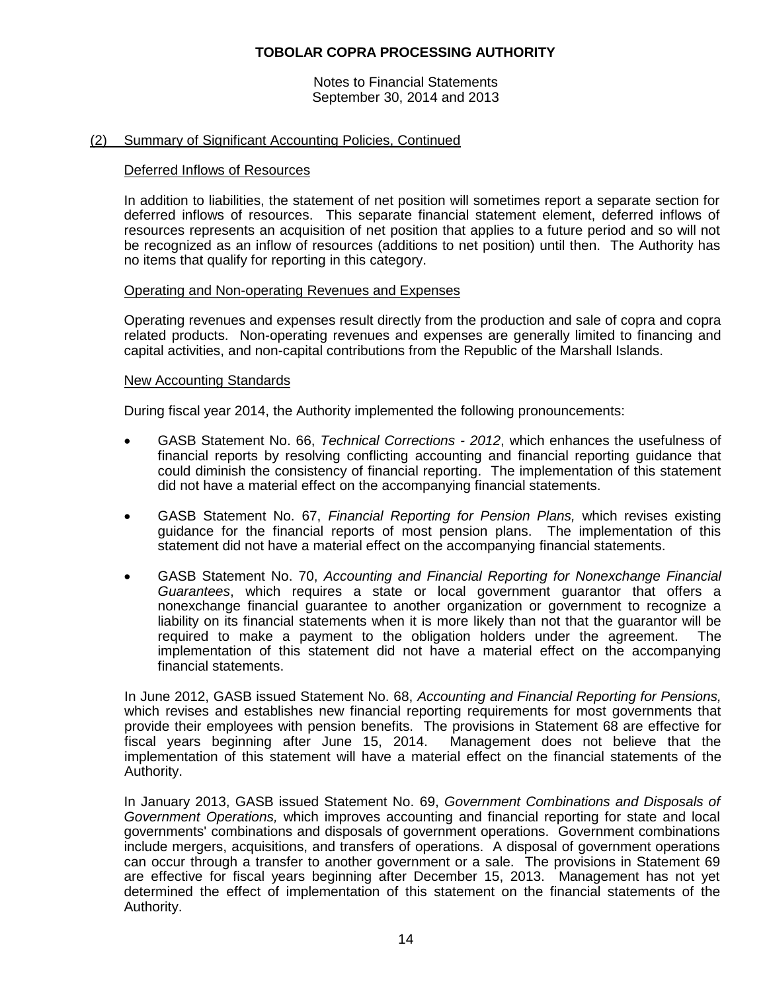Notes to Financial Statements September 30, 2014 and 2013

#### (2) Summary of Significant Accounting Policies, Continued

#### Deferred Inflows of Resources

In addition to liabilities, the statement of net position will sometimes report a separate section for deferred inflows of resources. This separate financial statement element, deferred inflows of resources represents an acquisition of net position that applies to a future period and so will not be recognized as an inflow of resources (additions to net position) until then. The Authority has no items that qualify for reporting in this category.

#### Operating and Non-operating Revenues and Expenses

Operating revenues and expenses result directly from the production and sale of copra and copra related products. Non-operating revenues and expenses are generally limited to financing and capital activities, and non-capital contributions from the Republic of the Marshall Islands.

#### New Accounting Standards

During fiscal year 2014, the Authority implemented the following pronouncements:

- GASB Statement No. 66, *Technical Corrections - 2012*, which enhances the usefulness of financial reports by resolving conflicting accounting and financial reporting guidance that could diminish the consistency of financial reporting. The implementation of this statement did not have a material effect on the accompanying financial statements.
- GASB Statement No. 67, *Financial Reporting for Pension Plans,* which revises existing guidance for the financial reports of most pension plans. The implementation of this statement did not have a material effect on the accompanying financial statements.
- GASB Statement No. 70, *Accounting and Financial Reporting for Nonexchange Financial Guarantees*, which requires a state or local government guarantor that offers a nonexchange financial guarantee to another organization or government to recognize a liability on its financial statements when it is more likely than not that the guarantor will be required to make a payment to the obligation holders under the agreement. The implementation of this statement did not have a material effect on the accompanying financial statements.

In June 2012, GASB issued Statement No. 68, *Accounting and Financial Reporting for Pensions,*  which revises and establishes new financial reporting requirements for most governments that provide their employees with pension benefits. The provisions in Statement 68 are effective for<br>fiscal years beginning after June 15, 2014. Management does not believe that the fiscal years beginning after June 15, 2014. implementation of this statement will have a material effect on the financial statements of the Authority.

In January 2013, GASB issued Statement No. 69, *Government Combinations and Disposals of Government Operations,* which improves accounting and financial reporting for state and local governments' combinations and disposals of government operations. Government combinations include mergers, acquisitions, and transfers of operations. A disposal of government operations can occur through a transfer to another government or a sale. The provisions in Statement 69 are effective for fiscal years beginning after December 15, 2013. Management has not yet determined the effect of implementation of this statement on the financial statements of the Authority.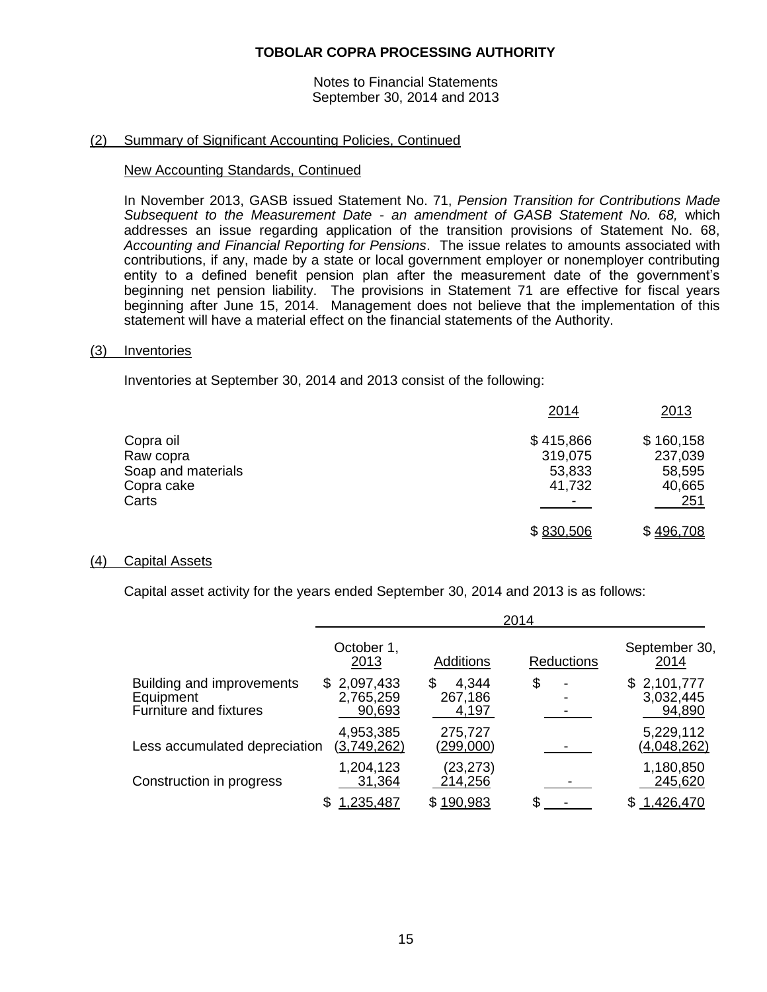#### Notes to Financial Statements September 30, 2014 and 2013

## (2) Summary of Significant Accounting Policies, Continued

#### New Accounting Standards, Continued

In November 2013, GASB issued Statement No. 71, *Pension Transition for Contributions Made Subsequent to the Measurement Date - an amendment of GASB Statement No. 68,* which addresses an issue regarding application of the transition provisions of Statement No. 68, *Accounting and Financial Reporting for Pensions*. The issue relates to amounts associated with contributions, if any, made by a state or local government employer or nonemployer contributing entity to a defined benefit pension plan after the measurement date of the government's beginning net pension liability. The provisions in Statement 71 are effective for fiscal years beginning after June 15, 2014. Management does not believe that the implementation of this statement will have a material effect on the financial statements of the Authority.

## (3) Inventories

Inventories at September 30, 2014 and 2013 consist of the following:

|                    | 2014      | 2013      |
|--------------------|-----------|-----------|
| Copra oil          | \$415,866 | \$160,158 |
| Raw copra          | 319,075   | 237,039   |
| Soap and materials | 53,833    | 58,595    |
| Copra cake         | 41,732    | 40,665    |
| Carts              |           | 251       |
|                    | \$830,506 | \$496,708 |

## (4) Capital Assets

Capital asset activity for the years ended September 30, 2014 and 2013 is as follows:

|                                                                  |                                        |                                 | 2014              |                                    |
|------------------------------------------------------------------|----------------------------------------|---------------------------------|-------------------|------------------------------------|
|                                                                  | October 1,<br>2013                     | <b>Additions</b>                | <b>Reductions</b> | September 30,<br>2014              |
| Building and improvements<br>Equipment<br>Furniture and fixtures | 2,097,433<br>S.<br>2,765,259<br>90,693 | \$<br>4,344<br>267,186<br>4,197 | \$                | \$2,101,777<br>3,032,445<br>94,890 |
| Less accumulated depreciation                                    | 4,953,385<br>(3,749,262)               | 275,727<br>(299,000)            |                   | 5,229,112<br>(4,048,262)           |
| Construction in progress                                         | 1,204,123<br>31,364                    | (23, 273)<br>214,256            |                   | 1,180,850<br>245,620               |
|                                                                  | <u>1,235,487</u>                       | \$190,983                       | \$                | <u>1,426,470</u>                   |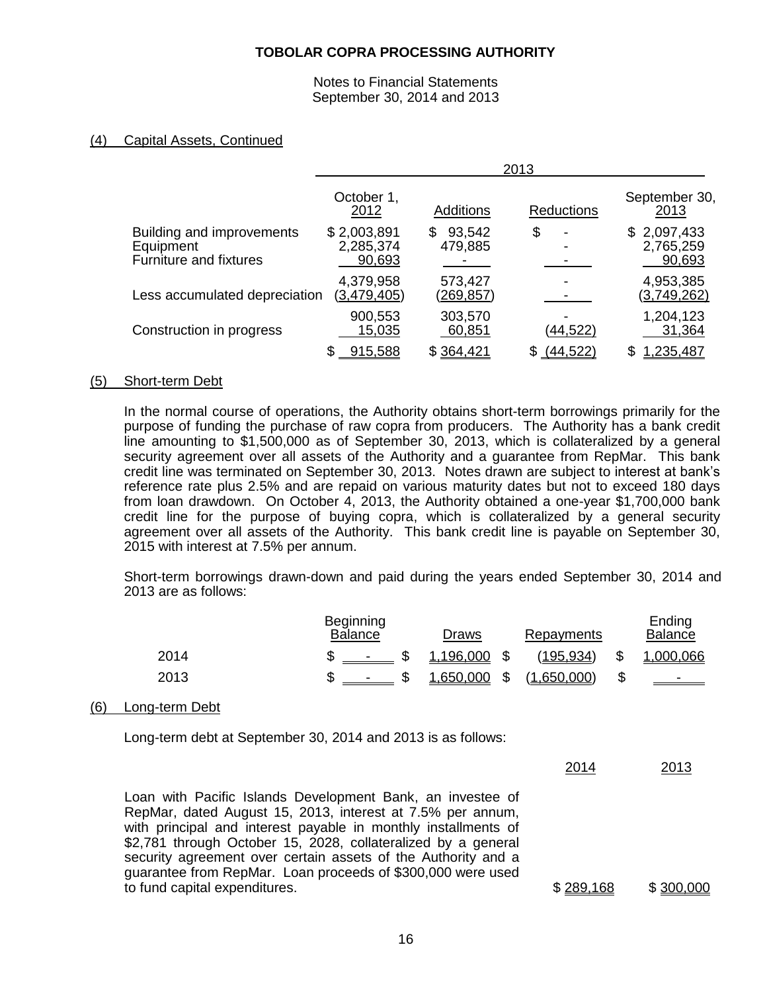Notes to Financial Statements September 30, 2014 and 2013

#### (4) Capital Assets, Continued

|                                                                         | 2013                               |                        |                   |                                    |
|-------------------------------------------------------------------------|------------------------------------|------------------------|-------------------|------------------------------------|
|                                                                         | October 1,<br>2012                 | <b>Additions</b>       | <b>Reductions</b> | September 30,<br>2013              |
| Building and improvements<br>Equipment<br><b>Furniture and fixtures</b> | \$2,003,891<br>2,285,374<br>90,693 | 93,542<br>S<br>479,885 | \$                | \$2,097,433<br>2,765,259<br>90,693 |
| Less accumulated depreciation                                           | 4,379,958<br>(3, 479, 405)         | 573,427<br>(269,857)   |                   | 4,953,385<br>(3,749,262)           |
| Construction in progress                                                | 900,553<br>15,035                  | 303,570<br>60,851      | (44,522)          | 1,204,123<br>31,364                |
|                                                                         | 915.588                            | \$364.421              | <u>44.522</u> )   | .235.487                           |

#### (5) Short-term Debt

In the normal course of operations, the Authority obtains short-term borrowings primarily for the purpose of funding the purchase of raw copra from producers. The Authority has a bank credit line amounting to \$1,500,000 as of September 30, 2013, which is collateralized by a general security agreement over all assets of the Authority and a guarantee from RepMar. This bank credit line was terminated on September 30, 2013. Notes drawn are subject to interest at bank's reference rate plus 2.5% and are repaid on various maturity dates but not to exceed 180 days from loan drawdown. On October 4, 2013, the Authority obtained a one-year \$1,700,000 bank credit line for the purpose of buying copra, which is collateralized by a general security agreement over all assets of the Authority. This bank credit line is payable on September 30, 2015 with interest at 7.5% per annum.

Short-term borrowings drawn-down and paid during the years ended September 30, 2014 and 2013 are as follows:

|      | <b>Beginning</b><br><b>Balance</b> | Draws                    | Repayments  | Ending<br><b>Balance</b> |
|------|------------------------------------|--------------------------|-------------|--------------------------|
| 2014 | and the state of the state         | <u>1,196,000</u><br>- \$ | (195, 934)  | 1,000,066                |
| 2013 | \$<br>and the state of the state   | 1,650,000<br>\$          | (1,650,000) |                          |

#### (6) Long-term Debt

Long-term debt at September 30, 2014 and 2013 is as follows:

|                                                                                                                                                                                                                                                                                                                                                                                                                              | 2014      | 2013      |
|------------------------------------------------------------------------------------------------------------------------------------------------------------------------------------------------------------------------------------------------------------------------------------------------------------------------------------------------------------------------------------------------------------------------------|-----------|-----------|
| Loan with Pacific Islands Development Bank, an investee of<br>RepMar, dated August 15, 2013, interest at 7.5% per annum,<br>with principal and interest payable in monthly installments of<br>\$2,781 through October 15, 2028, collateralized by a general<br>security agreement over certain assets of the Authority and a<br>guarantee from RepMar. Loan proceeds of \$300,000 were used<br>to fund capital expenditures. | \$289.168 | \$300,000 |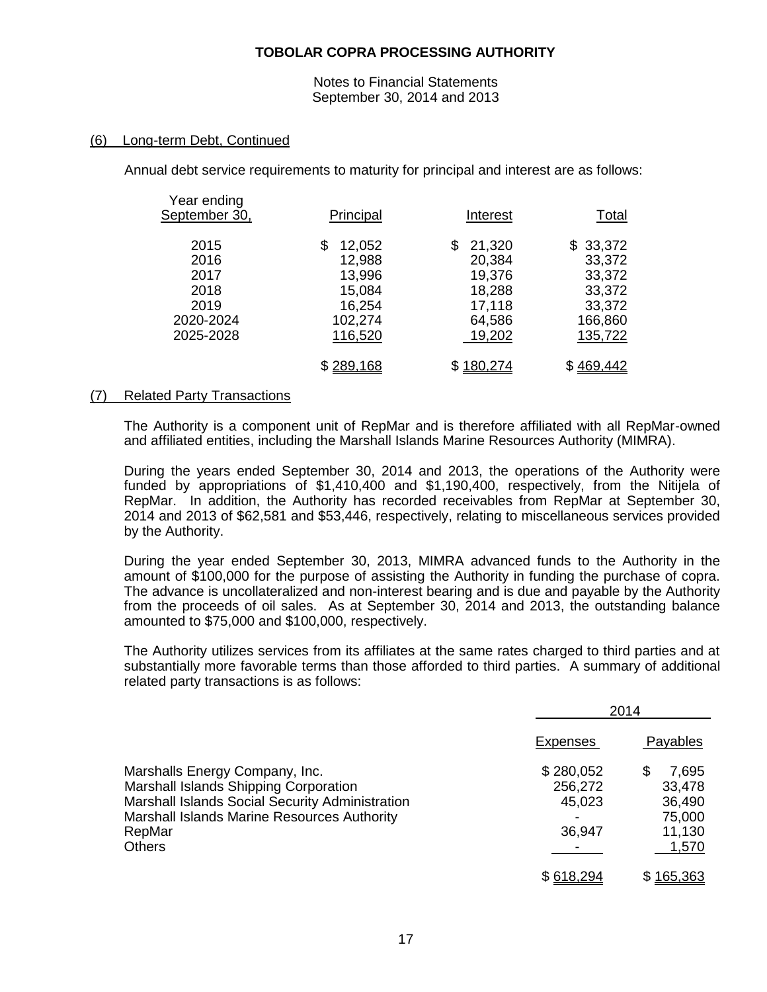Notes to Financial Statements September 30, 2014 and 2013

#### (6) Long-term Debt, Continued

Annual debt service requirements to maturity for principal and interest are as follows:

| Year ending<br>September 30, | Principal   | Interest    | <b>Total</b> |
|------------------------------|-------------|-------------|--------------|
| 2015                         | 12,052<br>S | 21,320<br>S | \$33,372     |
| 2016                         | 12,988      | 20,384      | 33,372       |
| 2017                         | 13,996      | 19,376      | 33,372       |
| 2018                         | 15,084      | 18,288      | 33,372       |
| 2019                         | 16,254      | 17,118      | 33,372       |
| 2020-2024                    | 102,274     | 64,586      | 166,860      |
| 2025-2028                    | 116,520     | 19,202      | 135,722      |
|                              |             |             |              |

#### (7) Related Party Transactions

The Authority is a component unit of RepMar and is therefore affiliated with all RepMar-owned and affiliated entities, including the Marshall Islands Marine Resources Authority (MIMRA).

During the years ended September 30, 2014 and 2013, the operations of the Authority were funded by appropriations of \$1,410,400 and \$1,190,400, respectively, from the Nitijela of RepMar. In addition, the Authority has recorded receivables from RepMar at September 30, 2014 and 2013 of \$62,581 and \$53,446, respectively, relating to miscellaneous services provided by the Authority.

During the year ended September 30, 2013, MIMRA advanced funds to the Authority in the amount of \$100,000 for the purpose of assisting the Authority in funding the purchase of copra. The advance is uncollateralized and non-interest bearing and is due and payable by the Authority from the proceeds of oil sales. As at September 30, 2014 and 2013, the outstanding balance amounted to \$75,000 and \$100,000, respectively.

The Authority utilizes services from its affiliates at the same rates charged to third parties and at substantially more favorable terms than those afforded to third parties. A summary of additional related party transactions is as follows:

|                                                                                                                                                                                                      | 2014                                     |                                                             |
|------------------------------------------------------------------------------------------------------------------------------------------------------------------------------------------------------|------------------------------------------|-------------------------------------------------------------|
|                                                                                                                                                                                                      | Expenses                                 | Payables                                                    |
| Marshalls Energy Company, Inc.<br>Marshall Islands Shipping Corporation<br>Marshall Islands Social Security Administration<br>Marshall Islands Marine Resources Authority<br>RepMar<br><b>Others</b> | \$280,052<br>256,272<br>45,023<br>36,947 | 7,695<br>S<br>33,478<br>36,490<br>75,000<br>11,130<br>1,570 |
|                                                                                                                                                                                                      | \$618,294                                | \$165,363                                                   |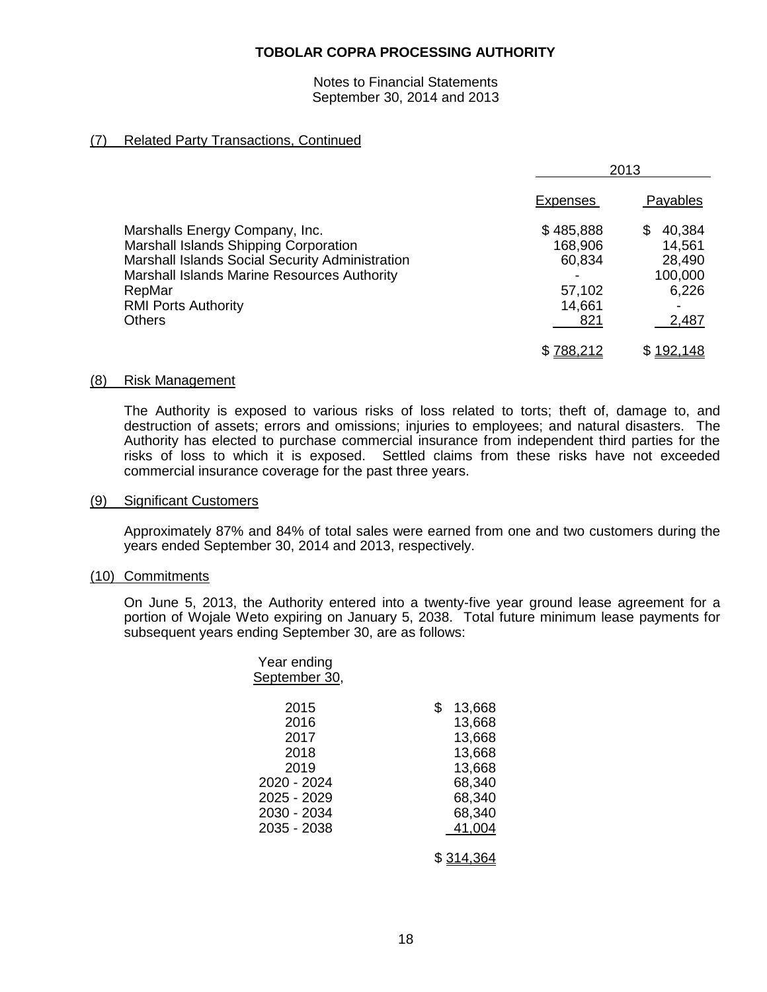Notes to Financial Statements September 30, 2014 and 2013

## (7) Related Party Transactions, Continued

|                                                                                                                                                                                                                                    | 2013                                                      |                                                                                            |
|------------------------------------------------------------------------------------------------------------------------------------------------------------------------------------------------------------------------------------|-----------------------------------------------------------|--------------------------------------------------------------------------------------------|
|                                                                                                                                                                                                                                    | <b>Expenses</b>                                           | <b>Payables</b>                                                                            |
| Marshalls Energy Company, Inc.<br>Marshall Islands Shipping Corporation<br>Marshall Islands Social Security Administration<br>Marshall Islands Marine Resources Authority<br>RepMar<br><b>RMI Ports Authority</b><br><b>Others</b> | \$485,888<br>168,906<br>60,834<br>57,102<br>14,661<br>821 | \$.<br>40,384<br>14,561<br>28,490<br>100,000<br>6,226<br>$\overline{\phantom{0}}$<br>2,487 |
|                                                                                                                                                                                                                                    | \$788,212                                                 | <u>\$192,148</u>                                                                           |

#### (8) Risk Management

The Authority is exposed to various risks of loss related to torts; theft of, damage to, and destruction of assets; errors and omissions; injuries to employees; and natural disasters. The Authority has elected to purchase commercial insurance from independent third parties for the risks of loss to which it is exposed. Settled claims from these risks have not exceeded commercial insurance coverage for the past three years.

#### (9) Significant Customers

Approximately 87% and 84% of total sales were earned from one and two customers during the years ended September 30, 2014 and 2013, respectively.

#### (10) Commitments

On June 5, 2013, the Authority entered into a twenty-five year ground lease agreement for a portion of Wojale Weto expiring on January 5, 2038. Total future minimum lease payments for subsequent years ending September 30, are as follows:

| Year ending<br>September 30, |                 |
|------------------------------|-----------------|
| 2015                         | \$<br>13,668    |
| 2016                         | 13,668          |
| 2017                         | 13,668          |
| 2018                         | 13,668          |
| 2019                         | 13,668          |
| 2020 - 2024                  | 68,340          |
| 2025 - 2029                  | 68,340          |
| 2030 - 2034                  | 68,340          |
| 2035 - 2038                  | 41,004          |
|                              | \$ <u>314,3</u> |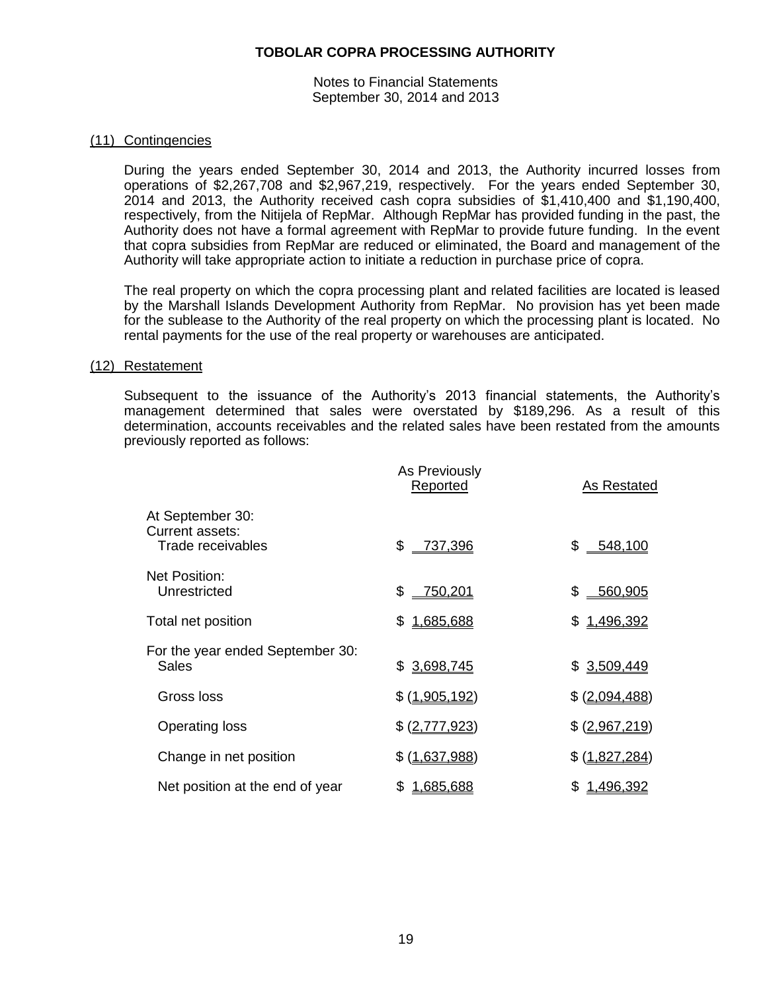Notes to Financial Statements September 30, 2014 and 2013

#### (11) Contingencies

During the years ended September 30, 2014 and 2013, the Authority incurred losses from operations of \$2,267,708 and \$2,967,219, respectively. For the years ended September 30, 2014 and 2013, the Authority received cash copra subsidies of \$1,410,400 and \$1,190,400, respectively, from the Nitijela of RepMar. Although RepMar has provided funding in the past, the Authority does not have a formal agreement with RepMar to provide future funding. In the event that copra subsidies from RepMar are reduced or eliminated, the Board and management of the Authority will take appropriate action to initiate a reduction in purchase price of copra.

The real property on which the copra processing plant and related facilities are located is leased by the Marshall Islands Development Authority from RepMar. No provision has yet been made for the sublease to the Authority of the real property on which the processing plant is located. No rental payments for the use of the real property or warehouses are anticipated.

#### (12) Restatement

Subsequent to the issuance of the Authority's 2013 financial statements, the Authority's management determined that sales were overstated by \$189,296. As a result of this determination, accounts receivables and the related sales have been restated from the amounts previously reported as follows:

|                                                          | As Previously<br>Reported | As Restated            |
|----------------------------------------------------------|---------------------------|------------------------|
| At September 30:<br>Current assets:<br>Trade receivables | \$ 737,396                | \$ 548,100             |
| Net Position:<br>Unrestricted                            | $$ -750,201$              | 560,905<br>\$          |
| Total net position                                       | \$1,685,688               | <u>1,496,392</u><br>S. |
| For the year ended September 30:<br>Sales                | \$ 3,698,745              | \$ 3,509,449           |
| Gross loss                                               | \$ (1,905,192)            | \$(2,094,488)          |
| <b>Operating loss</b>                                    | \$ (2,777,923)            | \$(2,967,219)          |
| Change in net position                                   | \$(1,637,988)             | \$(1,827,284)          |
| Net position at the end of year                          | \$1.685,688               | <u>1,496,392</u><br>S. |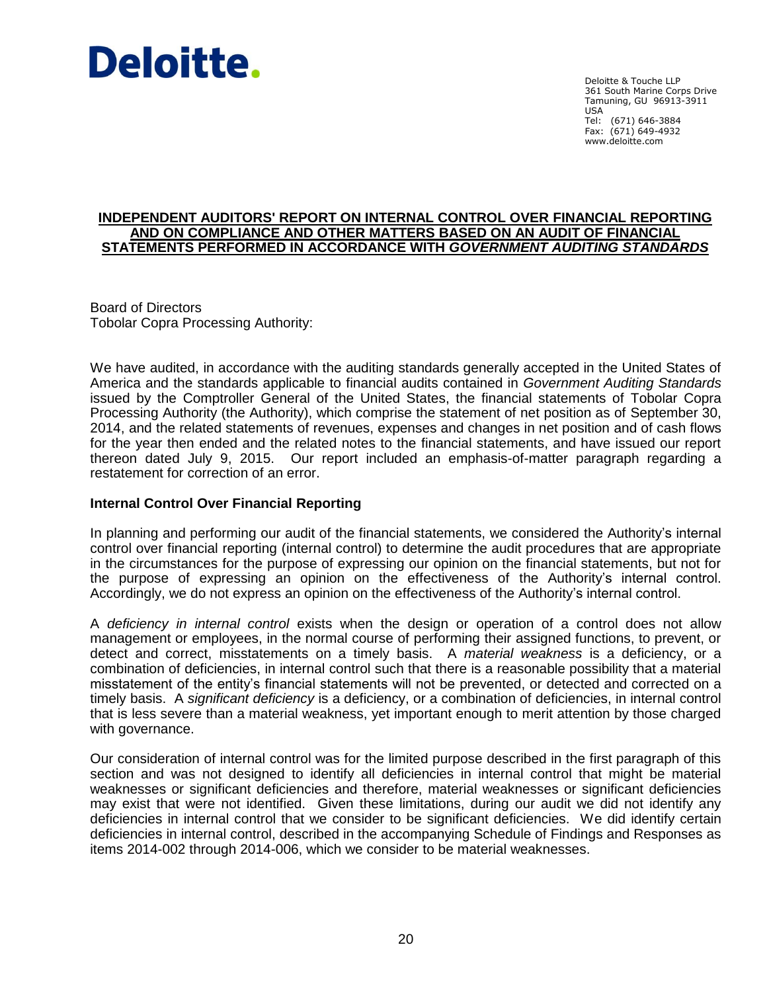# Deloitte.

Deloitte & Touche LLP 361 South Marine Corps Drive Tamuning, GU 96913-3911 USA Tel: (671) 646-3884 Fax: (671) 649-4932 www.deloitte.com

#### **INDEPENDENT AUDITORS' REPORT ON INTERNAL CONTROL OVER FINANCIAL REPORTING AND ON COMPLIANCE AND OTHER MATTERS BASED ON AN AUDIT OF FINANCIAL STATEMENTS PERFORMED IN ACCORDANCE WITH** *GOVERNMENT AUDITING STANDARDS*

Board of Directors Tobolar Copra Processing Authority:

We have audited, in accordance with the auditing standards generally accepted in the United States of America and the standards applicable to financial audits contained in *Government Auditing Standards* issued by the Comptroller General of the United States, the financial statements of Tobolar Copra Processing Authority (the Authority), which comprise the statement of net position as of September 30, 2014, and the related statements of revenues, expenses and changes in net position and of cash flows for the year then ended and the related notes to the financial statements, and have issued our report thereon dated July 9, 2015. Our report included an emphasis-of-matter paragraph regarding a restatement for correction of an error.

# **Internal Control Over Financial Reporting**

In planning and performing our audit of the financial statements, we considered the Authority's internal control over financial reporting (internal control) to determine the audit procedures that are appropriate in the circumstances for the purpose of expressing our opinion on the financial statements, but not for the purpose of expressing an opinion on the effectiveness of the Authority's internal control. Accordingly, we do not express an opinion on the effectiveness of the Authority's internal control.

A *deficiency in internal control* exists when the design or operation of a control does not allow management or employees, in the normal course of performing their assigned functions, to prevent, or detect and correct, misstatements on a timely basis. A *material weakness* is a deficiency, or a combination of deficiencies, in internal control such that there is a reasonable possibility that a material misstatement of the entity's financial statements will not be prevented, or detected and corrected on a timely basis. A *significant deficiency* is a deficiency, or a combination of deficiencies, in internal control that is less severe than a material weakness, yet important enough to merit attention by those charged with governance.

Our consideration of internal control was for the limited purpose described in the first paragraph of this section and was not designed to identify all deficiencies in internal control that might be material weaknesses or significant deficiencies and therefore, material weaknesses or significant deficiencies may exist that were not identified. Given these limitations, during our audit we did not identify any deficiencies in internal control that we consider to be significant deficiencies. We did identify certain deficiencies in internal control, described in the accompanying Schedule of Findings and Responses as items 2014-002 through 2014-006, which we consider to be material weaknesses.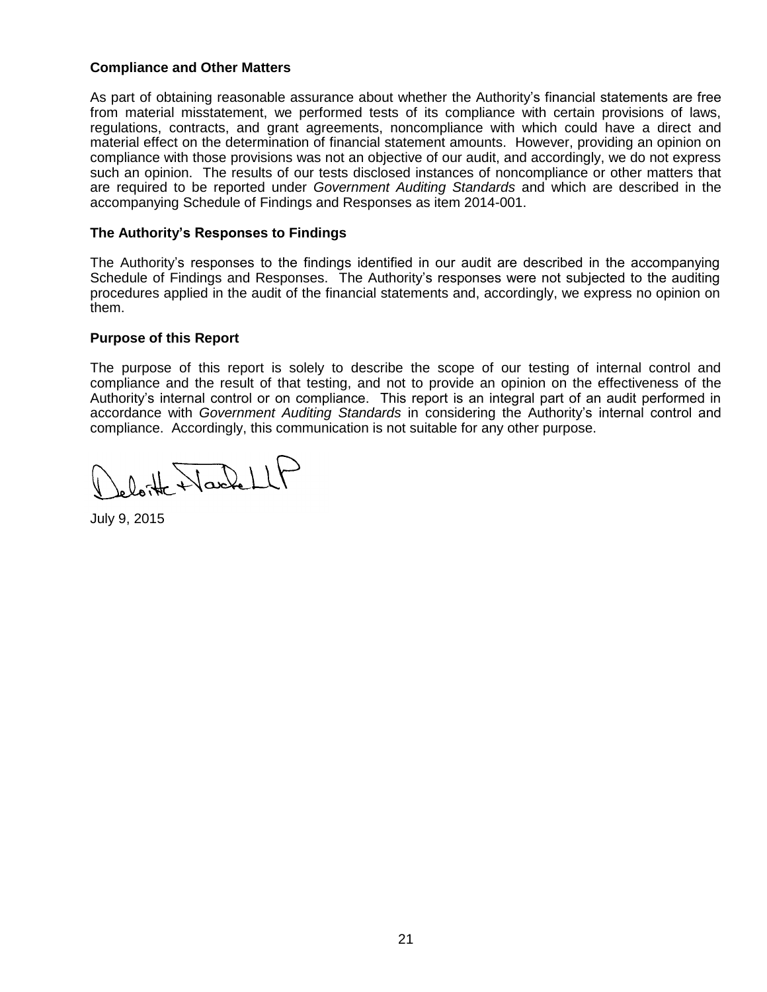# **Compliance and Other Matters**

As part of obtaining reasonable assurance about whether the Authority's financial statements are free from material misstatement, we performed tests of its compliance with certain provisions of laws, regulations, contracts, and grant agreements, noncompliance with which could have a direct and material effect on the determination of financial statement amounts. However, providing an opinion on compliance with those provisions was not an objective of our audit, and accordingly, we do not express such an opinion. The results of our tests disclosed instances of noncompliance or other matters that are required to be reported under *Government Auditing Standards* and which are described in the accompanying Schedule of Findings and Responses as item 2014-001.

# **The Authority's Responses to Findings**

The Authority's responses to the findings identified in our audit are described in the accompanying Schedule of Findings and Responses. The Authority's responses were not subjected to the auditing procedures applied in the audit of the financial statements and, accordingly, we express no opinion on them.

# **Purpose of this Report**

The purpose of this report is solely to describe the scope of our testing of internal control and compliance and the result of that testing, and not to provide an opinion on the effectiveness of the Authority's internal control or on compliance. This report is an integral part of an audit performed in accordance with *Government Auditing Standards* in considering the Authority's internal control and compliance. Accordingly, this communication is not suitable for any other purpose.

lette Harlett

July 9, 2015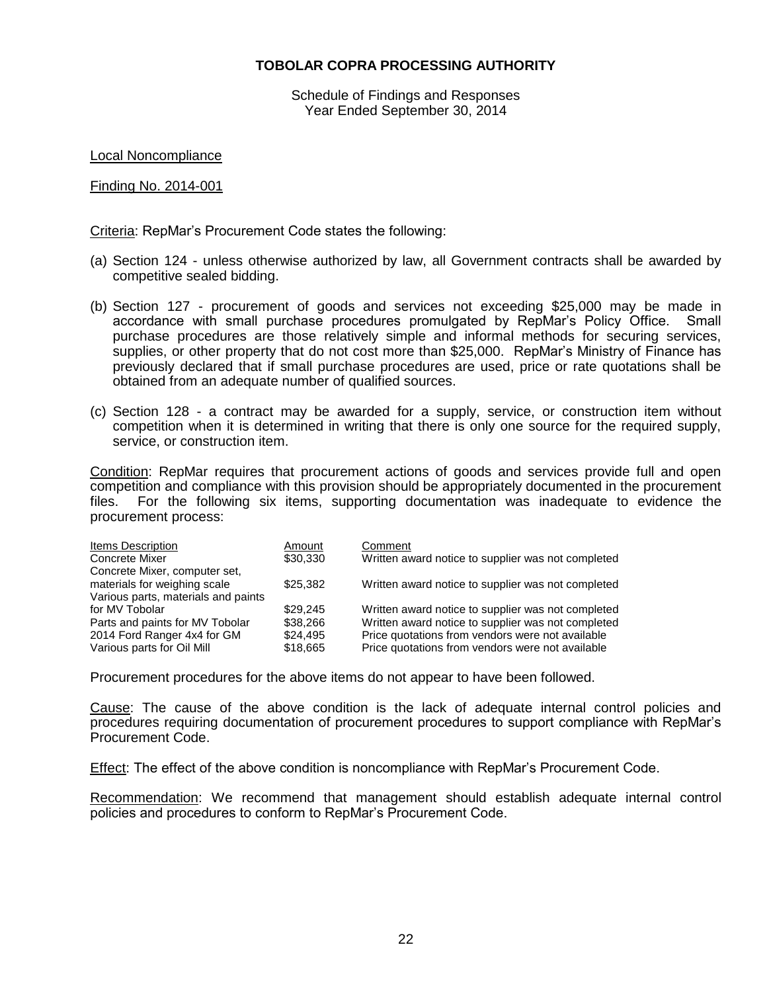Schedule of Findings and Responses Year Ended September 30, 2014

Local Noncompliance

Finding No. 2014-001

Criteria: RepMar's Procurement Code states the following:

- (a) Section 124 unless otherwise authorized by law, all Government contracts shall be awarded by competitive sealed bidding.
- (b) Section 127 procurement of goods and services not exceeding \$25,000 may be made in accordance with small purchase procedures promulgated by RepMar's Policy Office. Small purchase procedures are those relatively simple and informal methods for securing services, supplies, or other property that do not cost more than \$25,000. RepMar's Ministry of Finance has previously declared that if small purchase procedures are used, price or rate quotations shall be obtained from an adequate number of qualified sources.
- (c) Section 128 a contract may be awarded for a supply, service, or construction item without competition when it is determined in writing that there is only one source for the required supply, service, or construction item.

Condition: RepMar requires that procurement actions of goods and services provide full and open competition and compliance with this provision should be appropriately documented in the procurement files. For the following six items, supporting documentation was inadequate to evidence the procurement process:

| Items Description                   | Amount   | Comment                                            |
|-------------------------------------|----------|----------------------------------------------------|
| Concrete Mixer                      | \$30,330 | Written award notice to supplier was not completed |
| Concrete Mixer, computer set,       |          |                                                    |
| materials for weighing scale        | \$25,382 | Written award notice to supplier was not completed |
| Various parts, materials and paints |          |                                                    |
| for MV Tobolar                      | \$29.245 | Written award notice to supplier was not completed |
| Parts and paints for MV Tobolar     | \$38,266 | Written award notice to supplier was not completed |
| 2014 Ford Ranger 4x4 for GM         | \$24.495 | Price quotations from vendors were not available   |
| Various parts for Oil Mill          | \$18,665 | Price quotations from vendors were not available   |

Procurement procedures for the above items do not appear to have been followed.

Cause: The cause of the above condition is the lack of adequate internal control policies and procedures requiring documentation of procurement procedures to support compliance with RepMar's Procurement Code.

Effect: The effect of the above condition is noncompliance with RepMar's Procurement Code.

Recommendation: We recommend that management should establish adequate internal control policies and procedures to conform to RepMar's Procurement Code.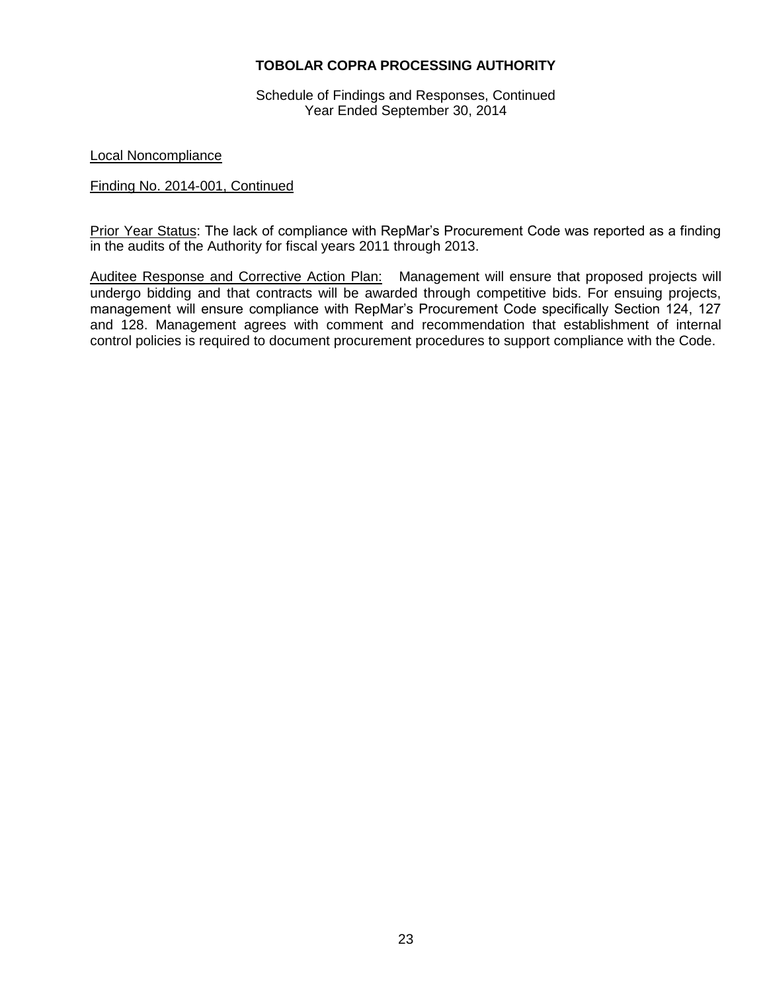Schedule of Findings and Responses, Continued Year Ended September 30, 2014

#### Local Noncompliance

#### Finding No. 2014-001, Continued

Prior Year Status: The lack of compliance with RepMar's Procurement Code was reported as a finding in the audits of the Authority for fiscal years 2011 through 2013.

Auditee Response and Corrective Action Plan: Management will ensure that proposed projects will undergo bidding and that contracts will be awarded through competitive bids. For ensuing projects, management will ensure compliance with RepMar's Procurement Code specifically Section 124, 127 and 128. Management agrees with comment and recommendation that establishment of internal control policies is required to document procurement procedures to support compliance with the Code.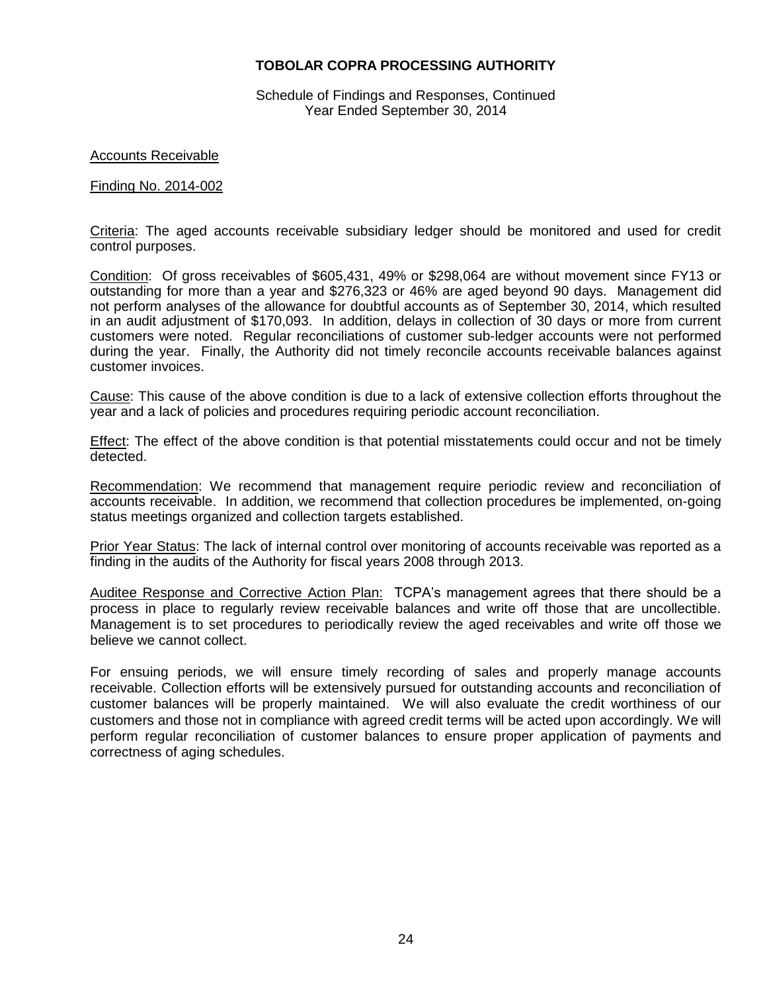Schedule of Findings and Responses, Continued Year Ended September 30, 2014

#### Accounts Receivable

#### Finding No. 2014-002

Criteria: The aged accounts receivable subsidiary ledger should be monitored and used for credit control purposes.

Condition: Of gross receivables of \$605,431, 49% or \$298,064 are without movement since FY13 or outstanding for more than a year and \$276,323 or 46% are aged beyond 90 days. Management did not perform analyses of the allowance for doubtful accounts as of September 30, 2014, which resulted in an audit adjustment of \$170,093. In addition, delays in collection of 30 days or more from current customers were noted. Regular reconciliations of customer sub-ledger accounts were not performed during the year. Finally, the Authority did not timely reconcile accounts receivable balances against customer invoices.

Cause: This cause of the above condition is due to a lack of extensive collection efforts throughout the year and a lack of policies and procedures requiring periodic account reconciliation.

Effect: The effect of the above condition is that potential misstatements could occur and not be timely detected.

Recommendation: We recommend that management require periodic review and reconciliation of accounts receivable. In addition, we recommend that collection procedures be implemented, on-going status meetings organized and collection targets established.

Prior Year Status: The lack of internal control over monitoring of accounts receivable was reported as a finding in the audits of the Authority for fiscal years 2008 through 2013.

Auditee Response and Corrective Action Plan: TCPA's management agrees that there should be a process in place to regularly review receivable balances and write off those that are uncollectible. Management is to set procedures to periodically review the aged receivables and write off those we believe we cannot collect.

For ensuing periods, we will ensure timely recording of sales and properly manage accounts receivable. Collection efforts will be extensively pursued for outstanding accounts and reconciliation of customer balances will be properly maintained. We will also evaluate the credit worthiness of our customers and those not in compliance with agreed credit terms will be acted upon accordingly. We will perform regular reconciliation of customer balances to ensure proper application of payments and correctness of aging schedules.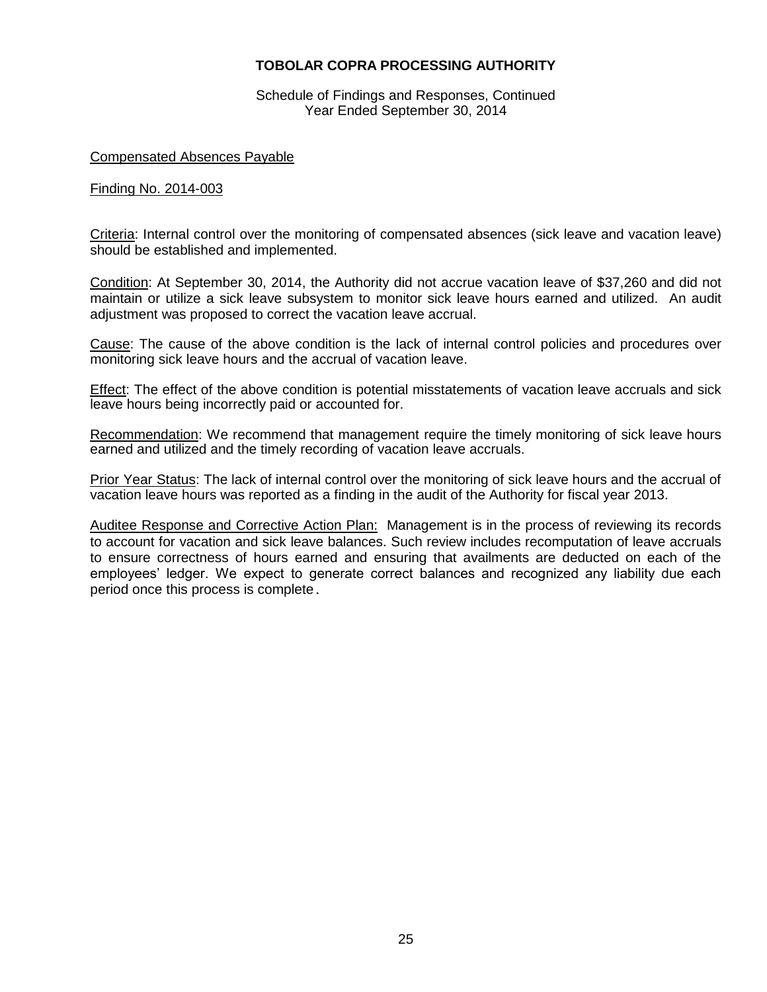Schedule of Findings and Responses, Continued Year Ended September 30, 2014

#### Compensated Absences Payable

#### Finding No. 2014-003

Criteria: Internal control over the monitoring of compensated absences (sick leave and vacation leave) should be established and implemented.

Condition: At September 30, 2014, the Authority did not accrue vacation leave of \$37,260 and did not maintain or utilize a sick leave subsystem to monitor sick leave hours earned and utilized. An audit adjustment was proposed to correct the vacation leave accrual.

Cause: The cause of the above condition is the lack of internal control policies and procedures over monitoring sick leave hours and the accrual of vacation leave.

Effect: The effect of the above condition is potential misstatements of vacation leave accruals and sick leave hours being incorrectly paid or accounted for.

Recommendation: We recommend that management require the timely monitoring of sick leave hours earned and utilized and the timely recording of vacation leave accruals.

Prior Year Status: The lack of internal control over the monitoring of sick leave hours and the accrual of vacation leave hours was reported as a finding in the audit of the Authority for fiscal year 2013.

Auditee Response and Corrective Action Plan: Management is in the process of reviewing its records to account for vacation and sick leave balances. Such review includes recomputation of leave accruals to ensure correctness of hours earned and ensuring that availments are deducted on each of the employees' ledger. We expect to generate correct balances and recognized any liability due each period once this process is complete.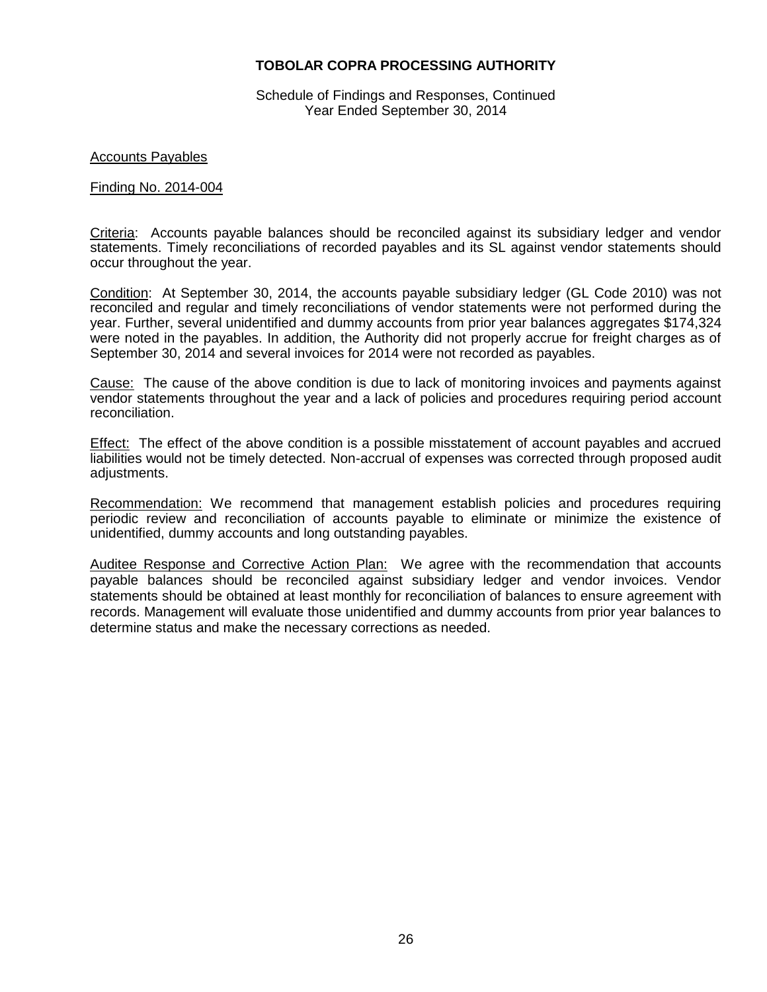Schedule of Findings and Responses, Continued Year Ended September 30, 2014

#### Accounts Payables

#### Finding No. 2014-004

Criteria: Accounts payable balances should be reconciled against its subsidiary ledger and vendor statements. Timely reconciliations of recorded payables and its SL against vendor statements should occur throughout the year.

Condition: At September 30, 2014, the accounts payable subsidiary ledger (GL Code 2010) was not reconciled and regular and timely reconciliations of vendor statements were not performed during the year. Further, several unidentified and dummy accounts from prior year balances aggregates \$174,324 were noted in the payables. In addition, the Authority did not properly accrue for freight charges as of September 30, 2014 and several invoices for 2014 were not recorded as payables.

Cause: The cause of the above condition is due to lack of monitoring invoices and payments against vendor statements throughout the year and a lack of policies and procedures requiring period account reconciliation.

Effect: The effect of the above condition is a possible misstatement of account payables and accrued liabilities would not be timely detected. Non-accrual of expenses was corrected through proposed audit adjustments.

Recommendation: We recommend that management establish policies and procedures requiring periodic review and reconciliation of accounts payable to eliminate or minimize the existence of unidentified, dummy accounts and long outstanding payables.

Auditee Response and Corrective Action Plan: We agree with the recommendation that accounts payable balances should be reconciled against subsidiary ledger and vendor invoices. Vendor statements should be obtained at least monthly for reconciliation of balances to ensure agreement with records. Management will evaluate those unidentified and dummy accounts from prior year balances to determine status and make the necessary corrections as needed.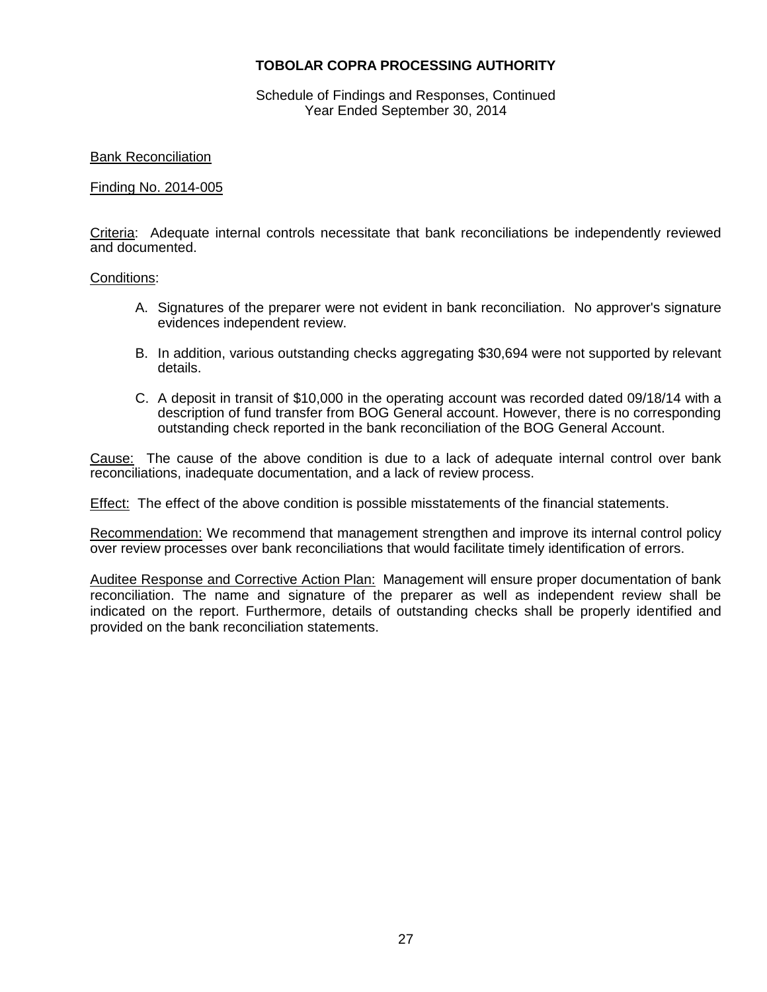Schedule of Findings and Responses, Continued Year Ended September 30, 2014

# Bank Reconciliation

# Finding No. 2014-005

Criteria: Adequate internal controls necessitate that bank reconciliations be independently reviewed and documented.

## Conditions:

- A. Signatures of the preparer were not evident in bank reconciliation. No approver's signature evidences independent review.
- B. In addition, various outstanding checks aggregating \$30,694 were not supported by relevant details.
- C. A deposit in transit of \$10,000 in the operating account was recorded dated 09/18/14 with a description of fund transfer from BOG General account. However, there is no corresponding outstanding check reported in the bank reconciliation of the BOG General Account.

Cause: The cause of the above condition is due to a lack of adequate internal control over bank reconciliations, inadequate documentation, and a lack of review process.

Effect: The effect of the above condition is possible misstatements of the financial statements.

Recommendation: We recommend that management strengthen and improve its internal control policy over review processes over bank reconciliations that would facilitate timely identification of errors.

Auditee Response and Corrective Action Plan: Management will ensure proper documentation of bank reconciliation. The name and signature of the preparer as well as independent review shall be indicated on the report. Furthermore, details of outstanding checks shall be properly identified and provided on the bank reconciliation statements.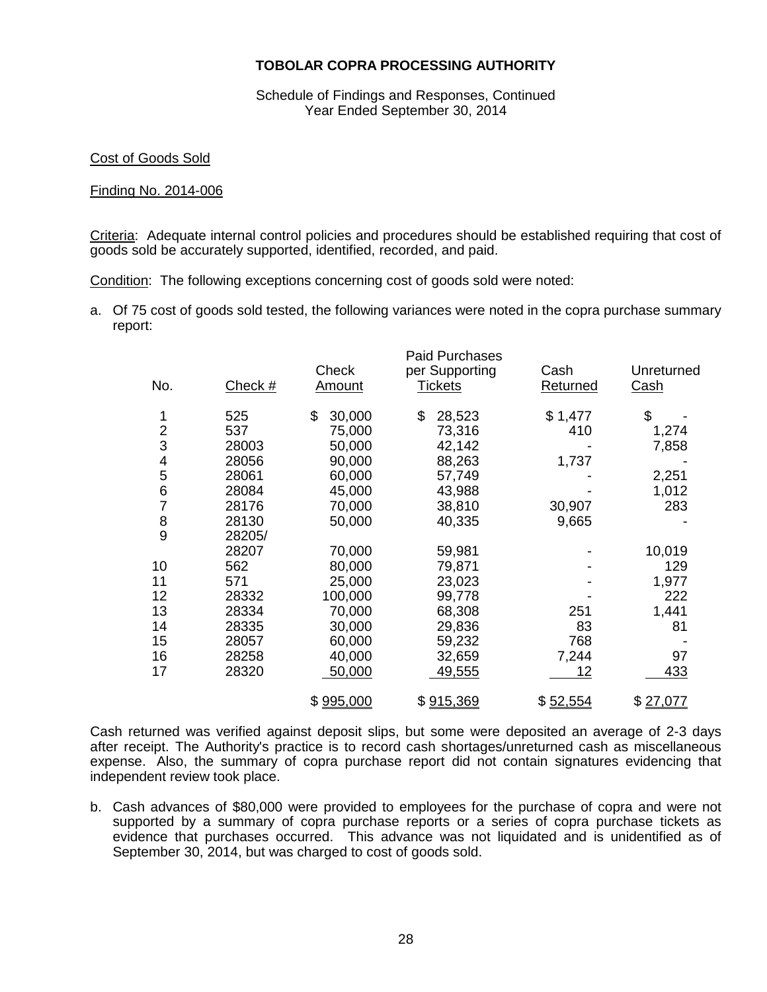Schedule of Findings and Responses, Continued Year Ended September 30, 2014

Cost of Goods Sold

# Finding No. 2014-006

Criteria: Adequate internal control policies and procedures should be established requiring that cost of goods sold be accurately supported, identified, recorded, and paid.

Condition: The following exceptions concerning cost of goods sold were noted:

a. Of 75 cost of goods sold tested, the following variances were noted in the copra purchase summary report:

| No.            | Check $#$ | Check<br>Amount | <b>Paid Purchases</b><br>per Supporting<br>Tickets | Cash<br>Returned | Unreturned<br><b>Cash</b> |
|----------------|-----------|-----------------|----------------------------------------------------|------------------|---------------------------|
| 1              | 525       | \$<br>30,000    | \$<br>28,523                                       | \$1,477          | \$                        |
| $\overline{2}$ | 537       | 75,000          | 73,316                                             | 410              | 1,274                     |
| 3              | 28003     | 50,000          | 42,142                                             |                  | 7,858                     |
| 4              | 28056     | 90,000          | 88,263                                             | 1,737            |                           |
| 5              | 28061     | 60,000          | 57,749                                             |                  | 2,251                     |
| 6              | 28084     | 45,000          | 43,988                                             |                  | 1,012                     |
| $\overline{7}$ | 28176     | 70,000          | 38,810                                             | 30,907           | 283                       |
| 8              | 28130     | 50,000          | 40,335                                             | 9,665            |                           |
| 9              | 28205/    |                 |                                                    |                  |                           |
|                | 28207     | 70,000          | 59,981                                             |                  | 10,019                    |
| 10             | 562       | 80,000          | 79,871                                             |                  | 129                       |
| 11             | 571       | 25,000          | 23,023                                             |                  | 1,977                     |
| 12             | 28332     | 100,000         | 99,778                                             |                  | 222                       |
| 13             | 28334     | 70,000          | 68,308                                             | 251              | 1,441                     |
| 14             | 28335     | 30,000          | 29,836                                             | 83               | 81                        |
| 15             | 28057     | 60,000          | 59,232                                             | 768              |                           |
| 16             | 28258     | 40,000          | 32,659                                             | 7,244            | 97                        |
| 17             | 28320     | 50,000          | 49,555                                             | 12               | <u>433</u>                |
|                |           | \$995,000       | \$915,369                                          | \$52,554         | \$27,077                  |

Cash returned was verified against deposit slips, but some were deposited an average of 2-3 days after receipt. The Authority's practice is to record cash shortages/unreturned cash as miscellaneous expense. Also, the summary of copra purchase report did not contain signatures evidencing that independent review took place.

b. Cash advances of \$80,000 were provided to employees for the purchase of copra and were not supported by a summary of copra purchase reports or a series of copra purchase tickets as evidence that purchases occurred. This advance was not liquidated and is unidentified as of September 30, 2014, but was charged to cost of goods sold.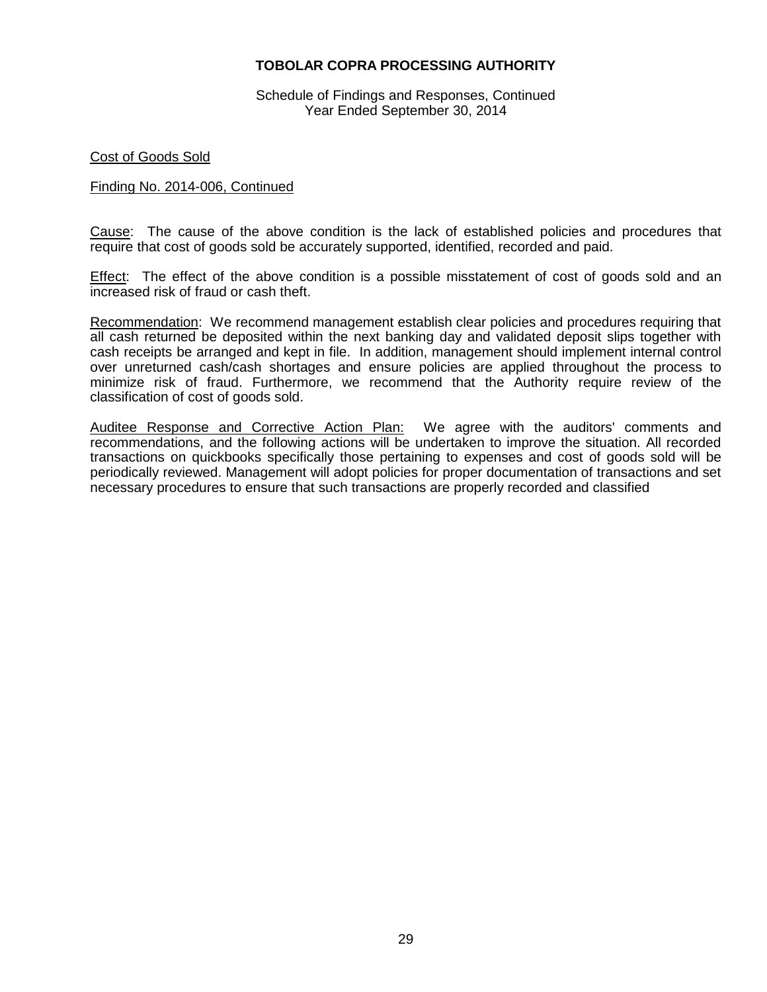Schedule of Findings and Responses, Continued Year Ended September 30, 2014

#### Cost of Goods Sold

#### Finding No. 2014-006, Continued

Cause: The cause of the above condition is the lack of established policies and procedures that require that cost of goods sold be accurately supported, identified, recorded and paid.

Effect: The effect of the above condition is a possible misstatement of cost of goods sold and an increased risk of fraud or cash theft.

Recommendation: We recommend management establish clear policies and procedures requiring that all cash returned be deposited within the next banking day and validated deposit slips together with cash receipts be arranged and kept in file. In addition, management should implement internal control over unreturned cash/cash shortages and ensure policies are applied throughout the process to minimize risk of fraud. Furthermore, we recommend that the Authority require review of the classification of cost of goods sold.

Auditee Response and Corrective Action Plan: We agree with the auditors' comments and recommendations, and the following actions will be undertaken to improve the situation. All recorded transactions on quickbooks specifically those pertaining to expenses and cost of goods sold will be periodically reviewed. Management will adopt policies for proper documentation of transactions and set necessary procedures to ensure that such transactions are properly recorded and classified